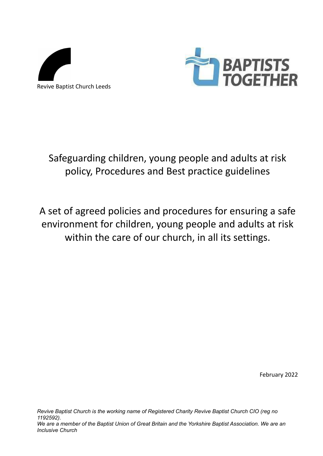



Safeguarding children, young people and adults at risk policy, Procedures and Best practice guidelines

A set of agreed policies and procedures for ensuring a safe environment for children, young people and adults at risk within the care of our church, in all its settings.

February 2022

*Revive Baptist Church is the working name of Registered Charity Revive Baptist Church CIO (reg no 1192592).* We are a member of the Baptist Union of Great Britain and the Yorkshire Baptist Association. We are an *Inclusive Church*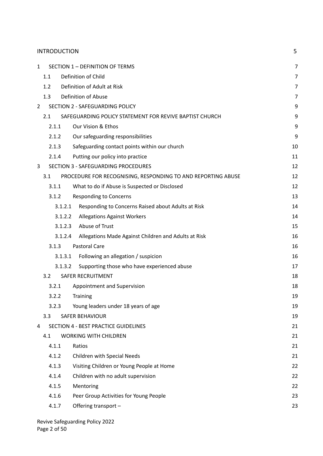|              | <b>INTRODUCTION</b> |                                                                 | 5              |
|--------------|---------------------|-----------------------------------------------------------------|----------------|
| $\mathbf{1}$ |                     | SECTION 1 - DEFINITION OF TERMS                                 | 7              |
|              | 1.1                 | Definition of Child                                             | 7              |
|              | 1.2                 | Definition of Adult at Risk                                     | 7              |
|              | 1.3                 | Definition of Abuse                                             | $\overline{7}$ |
| 2            |                     | SECTION 2 - SAFEGUARDING POLICY                                 | 9              |
|              | 2.1                 | SAFEGUARDING POLICY STATEMENT FOR REVIVE BAPTIST CHURCH         | 9              |
|              | 2.1.1               | Our Vision & Ethos                                              | 9              |
|              | 2.1.2               | Our safeguarding responsibilities                               | 9              |
|              | 2.1.3               | Safeguarding contact points within our church                   | 10             |
|              | 2.1.4               | Putting our policy into practice                                | 11             |
| 3            |                     | SECTION 3 - SAFEGUARDING PROCEDURES                             | 12             |
|              | 3.1                 | PROCEDURE FOR RECOGNISING, RESPONDING TO AND REPORTING ABUSE    | 12             |
|              | 3.1.1               | What to do if Abuse is Suspected or Disclosed                   | 12             |
|              | 3.1.2               | <b>Responding to Concerns</b>                                   | 13             |
|              |                     | Responding to Concerns Raised about Adults at Risk<br>3.1.2.1   | 14             |
|              |                     | 3.1.2.2<br><b>Allegations Against Workers</b>                   | 14             |
|              |                     | Abuse of Trust<br>3.1.2.3                                       | 15             |
|              |                     | 3.1.2.4<br>Allegations Made Against Children and Adults at Risk | 16             |
|              | 3.1.3               | <b>Pastoral Care</b>                                            | 16             |
|              |                     | Following an allegation / suspicion<br>3.1.3.1                  | 16             |
|              |                     | Supporting those who have experienced abuse<br>3.1.3.2          | 17             |
|              | 3.2                 | <b>SAFER RECRUITMENT</b>                                        | 18             |
|              | 3.2.1               | Appointment and Supervision                                     | 18             |
|              | 3.2.2               | <b>Training</b>                                                 | 19             |
|              | 3.2.3               | Young leaders under 18 years of age                             | 19             |
|              | 3.3                 | <b>SAFER BEHAVIOUR</b>                                          | 19             |
| 4            |                     | <b>SECTION 4 - BEST PRACTICE GUIDELINES</b>                     | 21             |
|              | 4.1                 | <b>WORKING WITH CHILDREN</b>                                    | 21             |
|              | 4.1.1               | Ratios                                                          | 21             |
|              | 4.1.2               | Children with Special Needs                                     | 21             |
|              | 4.1.3               | Visiting Children or Young People at Home                       | 22             |
|              | 4.1.4               | Children with no adult supervision                              | 22             |
|              | 4.1.5               | Mentoring                                                       | 22             |
|              | 4.1.6               | Peer Group Activities for Young People                          | 23             |
|              | 4.1.7               | Offering transport -                                            | 23             |
|              |                     |                                                                 |                |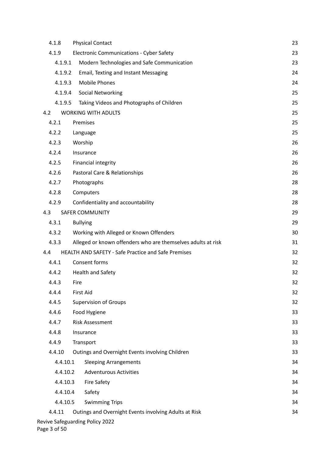| 4.1.8    | <b>Physical Contact</b>                                      | 23 |
|----------|--------------------------------------------------------------|----|
| 4.1.9    | <b>Electronic Communications - Cyber Safety</b>              | 23 |
| 4.1.9.1  | Modern Technologies and Safe Communication                   | 23 |
| 4.1.9.2  | Email, Texting and Instant Messaging                         | 24 |
| 4.1.9.3  | <b>Mobile Phones</b>                                         | 24 |
| 4.1.9.4  | <b>Social Networking</b>                                     | 25 |
| 4.1.9.5  | Taking Videos and Photographs of Children                    | 25 |
| 4.2      | <b>WORKING WITH ADULTS</b>                                   | 25 |
| 4.2.1    | Premises                                                     | 25 |
| 4.2.2    | Language                                                     | 25 |
| 4.2.3    | Worship                                                      | 26 |
| 4.2.4    | Insurance                                                    | 26 |
| 4.2.5    | <b>Financial integrity</b>                                   | 26 |
| 4.2.6    | Pastoral Care & Relationships                                | 26 |
| 4.2.7    | Photographs                                                  | 28 |
| 4.2.8    | Computers                                                    | 28 |
| 4.2.9    | Confidentiality and accountability                           | 28 |
| 4.3      | <b>SAFER COMMUNITY</b>                                       | 29 |
| 4.3.1    | <b>Bullying</b>                                              | 29 |
| 4.3.2    | Working with Alleged or Known Offenders                      | 30 |
| 4.3.3    | Alleged or known offenders who are themselves adults at risk | 31 |
| 4.4      | <b>HEALTH AND SAFETY - Safe Practice and Safe Premises</b>   | 32 |
| 4.4.1    | Consent forms                                                | 32 |
| 4.4.2    | <b>Health and Safety</b>                                     | 32 |
| 4.4.3    | Fire                                                         | 32 |
| 4.4.4    | First Aid                                                    | 32 |
| 4.4.5    | <b>Supervision of Groups</b>                                 | 32 |
| 4.4.6    | Food Hygiene                                                 | 33 |
| 4.4.7    | <b>Risk Assessment</b>                                       | 33 |
| 4.4.8    | Insurance                                                    | 33 |
| 4.4.9    | Transport                                                    | 33 |
| 4.4.10   | Outings and Overnight Events involving Children              | 33 |
| 4.4.10.1 | <b>Sleeping Arrangements</b>                                 | 34 |
| 4.4.10.2 | <b>Adventurous Activities</b>                                | 34 |
| 4.4.10.3 | <b>Fire Safety</b>                                           | 34 |
| 4.4.10.4 | Safety                                                       | 34 |
| 4.4.10.5 | <b>Swimming Trips</b>                                        | 34 |
| 4.4.11   | Outings and Overnight Events involving Adults at Risk        | 34 |
|          | Revive Safeguarding Policy 2022                              |    |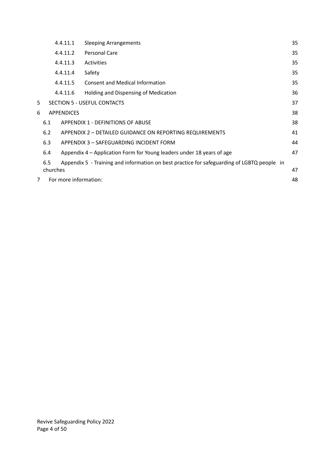|                | 4.4.11.1              | <b>Sleeping Arrangements</b>                                                               | 35 |
|----------------|-----------------------|--------------------------------------------------------------------------------------------|----|
|                | 4.4.11.2              | Personal Care                                                                              | 35 |
|                | 4.4.11.3              | <b>Activities</b>                                                                          | 35 |
|                | 4.4.11.4              | Safety                                                                                     | 35 |
|                | 4.4.11.5              | <b>Consent and Medical Information</b>                                                     | 35 |
|                | 4.4.11.6              | Holding and Dispensing of Medication                                                       | 36 |
| 5              |                       | SECTION 5 - USEFUL CONTACTS                                                                | 37 |
| 6              | <b>APPENDICES</b>     |                                                                                            | 38 |
|                | 6.1                   | <b>APPENDIX 1 - DEFINITIONS OF ABUSE</b>                                                   | 38 |
|                | 6.2                   | APPENDIX 2 - DETAILED GUIDANCE ON REPORTING REQUIREMENTS                                   | 41 |
|                | 6.3                   | APPENDIX 3 - SAFEGUARDING INCIDENT FORM                                                    | 44 |
|                | 6.4                   | Appendix 4 – Application Form for Young leaders under 18 years of age                      | 47 |
|                | 6.5                   | Appendix 5 - Training and information on best practice for safeguarding of LGBTQ people in |    |
|                | churches              |                                                                                            | 47 |
| $\overline{7}$ | For more information: |                                                                                            | 48 |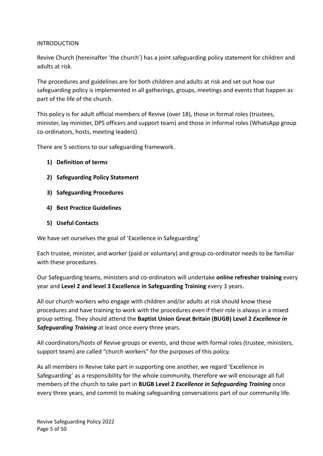## INTRODUCTION

Revive Church (hereinafter 'the church') has a joint safeguarding policy statement for children and adults at risk.

The procedures and guidelines are for both children and adults at risk and set out how our safeguarding policy is implemented in all gatherings, groups, meetings and events that happen as part of the life of the church.

This policy is for adult official members of Revive (over 18), those in formal roles (trustees, minister, lay minister, DPS officers and support team) and those in informal roles (WhatsApp group co-ordinators, hosts, meeting leaders).

There are 5 sections to our safeguarding framework.

- **1) Definition of terms**
- **2) Safeguarding Policy Statement**
- **3) Safeguarding Procedures**
- **4) Best Practice Guidelines**
- **5) Useful Contacts**

We have set ourselves the goal of 'Excellence in Safeguarding'

Each trustee, minister, and worker (paid or voluntary) and group co-ordinator needs to be familiar with these procedures.

Our Safeguarding teams, ministers and co-ordinators will undertake **online refresher training** every year and **Level 2 and level 3 Excellence in Safeguarding Training** every 3 years.

All our church workers who engage with children and/or adults at risk should know these procedures and have training to work with the procedures even if their role is always in a mixed group setting. They should attend the **Baptist Union Great Britain (BUGB) Level 2** *Excellence in Safeguarding Training* at least once every three years.

All coordinators/hosts of Revive groups or events, and those with formal roles (trustee, ministers, support team) are called "church workers" for the purposes of this policy.

As all members in Revive take part in supporting one another, we regard 'Excellence in Safeguarding' as a responsibility for the whole community, therefore we will encourage all full members of the church to take part in **BUGB Level 2** *Excellence in Safeguarding Training* once every three years, and commit to making safeguarding conversations part of our community life.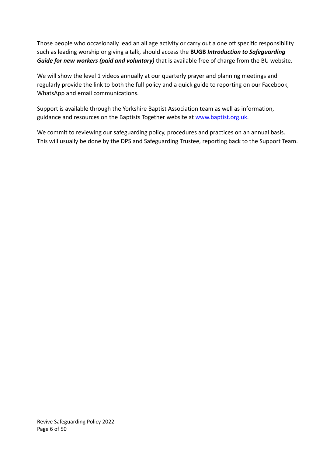Those people who occasionally lead an all age activity or carry out a one off specific responsibility such as leading worship or giving a talk, should access the **BUGB** *Introduction to Safeguarding Guide for new workers (paid and voluntary)* that is available free of charge from the BU website.

We will show the level 1 videos annually at our quarterly prayer and planning meetings and regularly provide the link to both the full policy and a quick guide to reporting on our Facebook, WhatsApp and email communications.

Support is available through the Yorkshire Baptist Association team as well as information, guidance and resources on the Baptists Together website at [www.baptist.org.uk](http://www.baptist.org.uk).

We commit to reviewing our safeguarding policy, procedures and practices on an annual basis. This will usually be done by the DPS and Safeguarding Trustee, reporting back to the Support Team.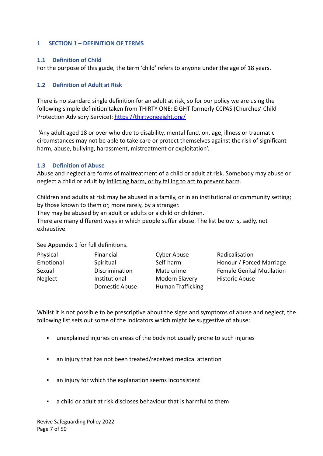### <span id="page-6-0"></span>**1 SECTION 1 – DEFINITION OF TERMS**

## <span id="page-6-1"></span>**1.1 Definition of Child**

For the purpose of this guide, the term 'child' refers to anyone under the age of 18 years.

# <span id="page-6-2"></span>**1.2 Definition of Adult at Risk**

There is no standard single definition for an adult at risk, so for our policy we are using the following simple definition taken from THIRTY ONE: EIGHT formerly CCPAS (Churches' Child Protection Advisory Service): <https://thirtyoneeight.org/>

'Any adult aged 18 or over who due to disability, mental function, age, illness or traumatic circumstances may not be able to take care or protect themselves against the risk of significant harm, abuse, bullying, harassment, mistreatment or exploitation'.

### <span id="page-6-3"></span>**1.3 Definition of Abuse**

Abuse and neglect are forms of maltreatment of a child or adult at risk. Somebody may abuse or neglect a child or adult by inflicting harm, or by failing to act to prevent harm.

Children and adults at risk may be abused in a family, or in an institutional or community setting; by those known to them or, more rarely, by a stranger.

They may be abused by an adult or adults or a child or children.

There are many different ways in which people suffer abuse. The list below is, sadly, not exhaustive.

See Appendix 1 for full definitions.

| Physical  | Financial                       | Cyber Abuse                         | Radicalisation                   |
|-----------|---------------------------------|-------------------------------------|----------------------------------|
| Emotional | Spiritual                       | Self-harm                           | Honour / Forced Marriage         |
| Sexual    | Discrimination                  | Mate crime                          | <b>Female Genital Mutilation</b> |
| Neglect   | Institutional<br>Domestic Abuse | Modern Slavery<br>Human Trafficking | <b>Historic Abuse</b>            |

Whilst it is not possible to be prescriptive about the signs and symptoms of abuse and neglect, the following list sets out some of the indicators which might be suggestive of abuse:

- unexplained injuries on areas of the body not usually prone to such injuries
- an injury that has not been treated/received medical attention
- an injury for which the explanation seems inconsistent
- a child or adult at risk discloses behaviour that is harmful to them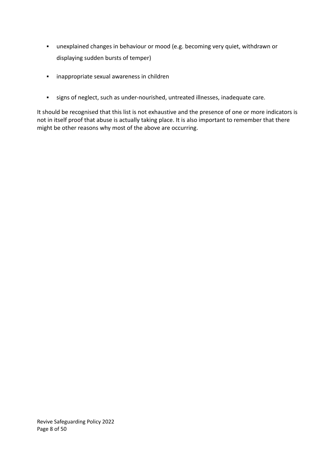- unexplained changes in behaviour or mood (e.g. becoming very quiet, withdrawn or displaying sudden bursts of temper)
- inappropriate sexual awareness in children
- signs of neglect, such as under-nourished, untreated illnesses, inadequate care.

It should be recognised that this list is not exhaustive and the presence of one or more indicators is not in itself proof that abuse is actually taking place. It is also important to remember that there might be other reasons why most of the above are occurring.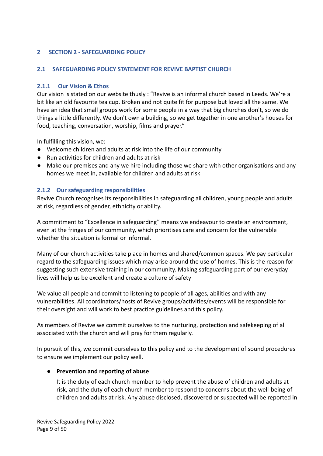# <span id="page-8-0"></span>**2 SECTION 2 - SAFEGUARDING POLICY**

## <span id="page-8-1"></span>**2.1 SAFEGUARDING POLICY STATEMENT FOR REVIVE BAPTIST CHURCH**

### <span id="page-8-2"></span>**2.1.1 Our Vision & Ethos**

Our vision is stated on our website thusly : "Revive is an informal church based in Leeds. We're a bit like an old favourite tea cup. Broken and not quite fit for purpose but loved all the same. We have an idea that small groups work for some people in a way that big churches don't, so we do things a little differently. We don't own a building, so we get together in one another's houses for food, teaching, conversation, worship, films and prayer."

In fulfilling this vision, we:

- Welcome children and adults at risk into the life of our community
- Run activities for children and adults at risk
- Make our premises and any we hire including those we share with other organisations and any homes we meet in, available for children and adults at risk

# <span id="page-8-3"></span>**2.1.2 Our safeguarding responsibilities**

Revive Church recognises its responsibilities in safeguarding all children, young people and adults at risk, regardless of gender, ethnicity or ability.

A commitment to "Excellence in safeguarding" means we endeavour to create an environment, even at the fringes of our community, which prioritises care and concern for the vulnerable whether the situation is formal or informal.

Many of our church activities take place in homes and shared/common spaces. We pay particular regard to the safeguarding issues which may arise around the use of homes. This is the reason for suggesting such extensive training in our community. Making safeguarding part of our everyday lives will help us be excellent and create a culture of safety

We value all people and commit to listening to people of all ages, abilities and with any vulnerabilities. All coordinators/hosts of Revive groups/activities/events will be responsible for their oversight and will work to best practice guidelines and this policy.

As members of Revive we commit ourselves to the nurturing, protection and safekeeping of all associated with the church and will pray for them regularly.

In pursuit of this, we commit ourselves to this policy and to the development of sound procedures to ensure we implement our policy well.

# **● Prevention and reporting of abuse**

It is the duty of each church member to help prevent the abuse of children and adults at risk, and the duty of each church member to respond to concerns about the well-being of children and adults at risk. Any abuse disclosed, discovered or suspected will be reported in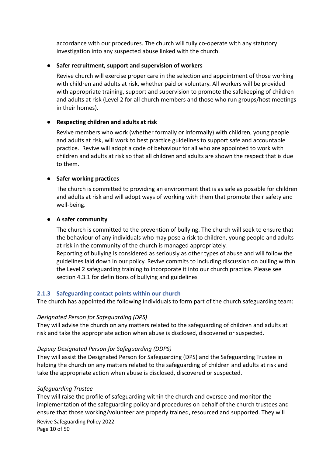accordance with our procedures. The church will fully co-operate with any statutory investigation into any suspected abuse linked with the church.

### **● Safer recruitment, support and supervision of workers**

Revive church will exercise proper care in the selection and appointment of those working with children and adults at risk, whether paid or voluntary. All workers will be provided with appropriate training, support and supervision to promote the safekeeping of children and adults at risk (Level 2 for all church members and those who run groups/host meetings in their homes).

# ● **Respecting children and adults at risk**

Revive members who work (whether formally or informally) with children, young people and adults at risk, will work to best practice guidelines to support safe and accountable practice. Revive will adopt a code of behaviour for all who are appointed to work with children and adults at risk so that all children and adults are shown the respect that is due to them.

### **● Safer working practices**

The church is committed to providing an environment that is as safe as possible for children and adults at risk and will adopt ways of working with them that promote their safety and well-being.

### **● A safer community**

The church is committed to the prevention of bullying. The church will seek to ensure that the behaviour of any individuals who may pose a risk to children, young people and adults at risk in the community of the church is managed appropriately. Reporting of bullying is considered as seriously as other types of abuse and will follow the guidelines laid down in our policy. Revive commits to including discussion on bulling within the Level 2 safeguarding training to incorporate it into our church practice. Please see section 4.3.1 for definitions of bullying and guidelines

#### <span id="page-9-0"></span>**2.1.3 Safeguarding contact points within our church**

The church has appointed the following individuals to form part of the church safeguarding team:

#### *Designated Person for Safeguarding (DPS)*

They will advise the church on any matters related to the safeguarding of children and adults at risk and take the appropriate action when abuse is disclosed, discovered or suspected.

#### *Deputy Designated Person for Safeguarding (DDPS)*

They will assist the Designated Person for Safeguarding (DPS) and the Safeguarding Trustee in helping the church on any matters related to the safeguarding of children and adults at risk and take the appropriate action when abuse is disclosed, discovered or suspected.

# *Safeguarding Trustee*

They will raise the profile of safeguarding within the church and oversee and monitor the implementation of the safeguarding policy and procedures on behalf of the church trustees and ensure that those working/volunteer are properly trained, resourced and supported. They will Revive Safeguarding Policy 2022 Page 10 of 50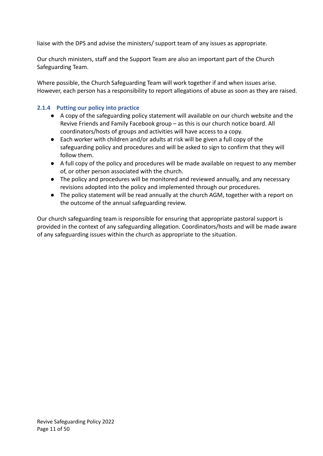liaise with the DPS and advise the ministers/ support team of any issues as appropriate.

Our church ministers, staff and the Support Team are also an important part of the Church Safeguarding Team.

Where possible, the Church Safeguarding Team will work together if and when issues arise. However, each person has a responsibility to report allegations of abuse as soon as they are raised.

# <span id="page-10-0"></span>**2.1.4 Putting our policy into practice**

- A copy of the safeguarding policy statement will available on our church website and the Revive Friends and Family Facebook group – as this is our church notice board. All coordinators/hosts of groups and activities will have access to a copy.
- Each worker with children and/or adults at risk will be given a full copy of the safeguarding policy and procedures and will be asked to sign to confirm that they will follow them.
- A full copy of the policy and procedures will be made available on request to any member of, or other person associated with the church.
- The policy and procedures will be monitored and reviewed annually, and any necessary revisions adopted into the policy and implemented through our procedures.
- The policy statement will be read annually at the church AGM, together with a report on the outcome of the annual safeguarding review.

Our church safeguarding team is responsible for ensuring that appropriate pastoral support is provided in the context of any safeguarding allegation. Coordinators/hosts and will be made aware of any safeguarding issues within the church as appropriate to the situation.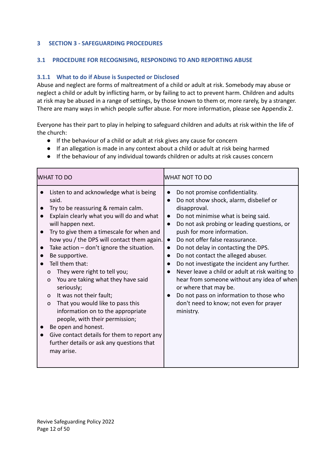# <span id="page-11-0"></span>**3 SECTION 3 - SAFEGUARDING PROCEDURES**

## <span id="page-11-1"></span>**3.1 PROCEDURE FOR RECOGNISING, RESPONDING TO AND REPORTING ABUSE**

# <span id="page-11-2"></span>**3.1.1 What to do if Abuse is Suspected or Disclosed**

Abuse and neglect are forms of maltreatment of a child or adult at risk. Somebody may abuse or neglect a child or adult by inflicting harm, or by failing to act to prevent harm. Children and adults at risk may be abused in a range of settings, by those known to them or, more rarely, by a stranger. There are many ways in which people suffer abuse. For more information, please see Appendix 2.

Everyone has their part to play in helping to safeguard children and adults at risk within the life of the church:

- If the behaviour of a child or adult at risk gives any cause for concern
- If an allegation is made in any context about a child or adult at risk being harmed
- If the behaviour of any individual towards children or adults at risk causes concern

| <b>WHAT TO DO</b>                                                                                                                                                                                                                                                                                                                                                                                                                                                                                                                                                                                                                                                                                                                                                                 | WHAT NOT TO DO                                                                                                                                                                                                                                                                                                                                                                                                                                                                                                                                                                                                                                                                                                                               |
|-----------------------------------------------------------------------------------------------------------------------------------------------------------------------------------------------------------------------------------------------------------------------------------------------------------------------------------------------------------------------------------------------------------------------------------------------------------------------------------------------------------------------------------------------------------------------------------------------------------------------------------------------------------------------------------------------------------------------------------------------------------------------------------|----------------------------------------------------------------------------------------------------------------------------------------------------------------------------------------------------------------------------------------------------------------------------------------------------------------------------------------------------------------------------------------------------------------------------------------------------------------------------------------------------------------------------------------------------------------------------------------------------------------------------------------------------------------------------------------------------------------------------------------------|
| Listen to and acknowledge what is being<br>said.<br>Try to be reassuring & remain calm.<br>Explain clearly what you will do and what<br>will happen next.<br>Try to give them a timescale for when and<br>$\bullet$<br>how you / the DPS will contact them again.<br>Take action $-$ don't ignore the situation.<br>$\bullet$<br>Be supportive.<br>Tell them that:<br>They were right to tell you;<br>O<br>You are taking what they have said<br>$\mathbf O$<br>seriously;<br>It was not their fault;<br>$\mathsf{o}$<br>That you would like to pass this<br>$\mathsf{o}$<br>information on to the appropriate<br>people, with their permission;<br>Be open and honest.<br>Give contact details for them to report any<br>further details or ask any questions that<br>may arise. | Do not promise confidentiality.<br>$\bullet$<br>Do not show shock, alarm, disbelief or<br>$\bullet$<br>disapproval.<br>Do not minimise what is being said.<br>$\bullet$<br>Do not ask probing or leading questions, or<br>$\bullet$<br>push for more information.<br>Do not offer false reassurance.<br>$\bullet$<br>Do not delay in contacting the DPS.<br>$\bullet$<br>Do not contact the alleged abuser.<br>$\bullet$<br>Do not investigate the incident any further.<br>$\bullet$<br>Never leave a child or adult at risk waiting to<br>$\bullet$<br>hear from someone without any idea of when<br>or where that may be.<br>Do not pass on information to those who<br>$\bullet$<br>don't need to know; not even for prayer<br>ministry. |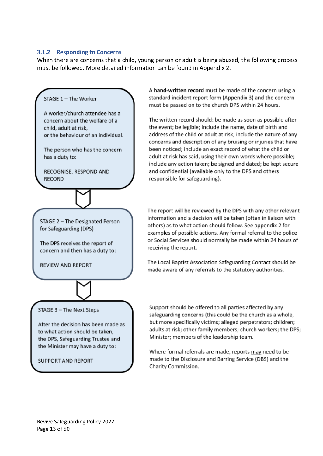## <span id="page-12-0"></span>**3.1.2 Responding to Concerns**

When there are concerns that a child, young person or adult is being abused, the following process must be followed. More detailed information can be found in Appendix 2.



A hand-written record must be made of the concern using a standard incident report form (Appendix 3) and the concern must be passed on to the church DPS within 24 hours.

The written record should: be made as soon as possible after the event; be legible; include the name, date of birth and address of the child or adult at risk; include the nature of any concerns and description of any bruising or injuries that have been noticed; include an exact record of what the child or adult at risk has said, using their own words where possible; include any action taken; be signed and dated; be kept secure and confidential (available only to the DPS and others responsible for safeguarding).

The report will be reviewed by the DPS with any other relevant information and a decision will be taken (often in liaison with others) as to what action should follow. See appendix 2 for examples of possible actions. Any formal referral to the police or Social Services should normally be made within 24 hours of

The Local Baptist Association Safeguarding Contact should be made aware of any referrals to the statutory authorities.

Revive Safeguarding Policy 2022 Page 13 of 50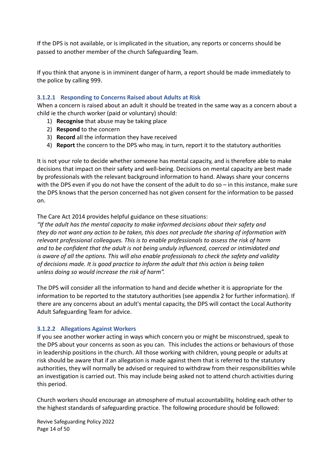If the DPS is not available, or is implicated in the situation, any reports or concerns should be passed to another member of the church Safeguarding Team.

If you think that anyone is in imminent danger of harm, a report should be made immediately to the police by calling 999.

## <span id="page-13-0"></span>**3.1.2.1 Responding to Concerns Raised about Adults at Risk**

When a concern is raised about an adult it should be treated in the same way as a concern about a child ie the church worker (paid or voluntary) should:

- 1) **Recognise** that abuse may be taking place
- 2) **Respond** to the concern
- 3) **Record** all the information they have received
- 4) **Report** the concern to the DPS who may, in turn, report it to the statutory authorities

It is not your role to decide whether someone has mental capacity, and is therefore able to make decisions that impact on their safety and well-being. Decisions on mental capacity are best made by professionals with the relevant background information to hand. Always share your concerns with the DPS even if you do not have the consent of the adult to do so – in this instance, make sure the DPS knows that the person concerned has not given consent for the information to be passed on.

### The Care Act 2014 provides helpful guidance on these situations:

*"If the adult has the mental capacity to make informed decisions about their safety and they do not want any action to be taken, this does not preclude the sharing of information with relevant professional colleagues. This is to enable professionals to assess the risk of harm and to be confident that the adult is not being unduly influenced, coerced or intimidated and is aware of all the options. This will also enable professionals to check the safety and validity of decisions made. It is good practice to inform the adult that this action is being taken unless doing so would increase the risk of harm".*

The DPS will consider all the information to hand and decide whether it is appropriate for the information to be reported to the statutory authorities (see appendix 2 for further information). If there are any concerns about an adult's mental capacity, the DPS will contact the Local Authority Adult Safeguarding Team for advice.

# <span id="page-13-1"></span>**3.1.2.2 Allegations Against Workers**

If you see another worker acting in ways which concern you or might be misconstrued, speak to the DPS about your concerns as soon as you can. This includes the actions or behaviours of those in leadership positions in the church. All those working with children, young people or adults at risk should be aware that if an allegation is made against them that is referred to the statutory authorities, they will normally be advised or required to withdraw from their responsibilities while an investigation is carried out. This may include being asked not to attend church activities during this period.

Church workers should encourage an atmosphere of mutual accountability, holding each other to the highest standards of safeguarding practice. The following procedure should be followed:

Revive Safeguarding Policy 2022 Page 14 of 50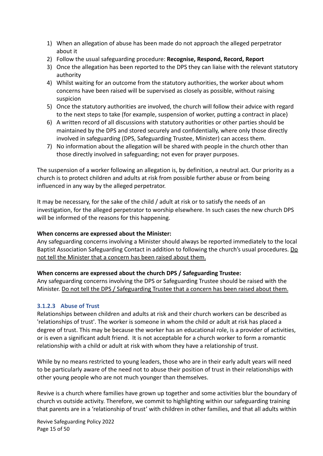- 1) When an allegation of abuse has been made do not approach the alleged perpetrator about it
- 2) Follow the usual safeguarding procedure: **Recognise, Respond, Record, Report**
- 3) Once the allegation has been reported to the DPS they can liaise with the relevant statutory authority
- 4) Whilst waiting for an outcome from the statutory authorities, the worker about whom concerns have been raised will be supervised as closely as possible, without raising suspicion
- 5) Once the statutory authorities are involved, the church will follow their advice with regard to the next steps to take (for example, suspension of worker, putting a contract in place)
- 6) A written record of all discussions with statutory authorities or other parties should be maintained by the DPS and stored securely and confidentially, where only those directly involved in safeguarding (DPS, Safeguarding Trustee, Minister) can access them.
- 7) No information about the allegation will be shared with people in the church other than those directly involved in safeguarding; not even for prayer purposes.

The suspension of a worker following an allegation is, by definition, a neutral act. Our priority as a church is to protect children and adults at risk from possible further abuse or from being influenced in any way by the alleged perpetrator.

It may be necessary, for the sake of the child / adult at risk or to satisfy the needs of an investigation, for the alleged perpetrator to worship elsewhere. In such cases the new church DPS will be informed of the reasons for this happening.

#### **When concerns are expressed about the Minister:**

Any safeguarding concerns involving a Minister should always be reported immediately to the local Baptist Association Safeguarding Contact in addition to following the church's usual procedures. Do not tell the Minister that a concern has been raised about them.

# **When concerns are expressed about the church DPS / Safeguarding Trustee:**

Any safeguarding concerns involving the DPS or Safeguarding Trustee should be raised with the Minister. Do not tell the DPS / Safeguarding Trustee that a concern has been raised about them.

# <span id="page-14-0"></span>**3.1.2.3 Abuse of Trust**

Relationships between children and adults at risk and their church workers can be described as 'relationships of trust'. The worker is someone in whom the child or adult at risk has placed a degree of trust. This may be because the worker has an educational role, is a provider of activities, or is even a significant adult friend. It is not acceptable for a church worker to form a romantic relationship with a child or adult at risk with whom they have a relationship of trust.

While by no means restricted to young leaders, those who are in their early adult years will need to be particularly aware of the need not to abuse their position of trust in their relationships with other young people who are not much younger than themselves.

Revive is a church where families have grown up together and some activities blur the boundary of church vs outside activity. Therefore, we commit to highlighting within our safeguarding training that parents are in a 'relationship of trust' with children in other families, and that all adults within

Revive Safeguarding Policy 2022 Page 15 of 50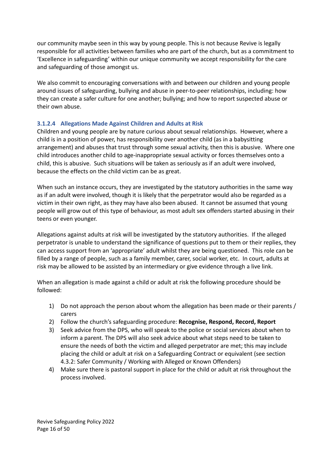our community maybe seen in this way by young people. This is not because Revive is legally responsible for all activities between families who are part of the church, but as a commitment to 'Excellence in safeguarding' within our unique community we accept responsibility for the care and safeguarding of those amongst us.

We also commit to encouraging conversations with and between our children and young people around issues of safeguarding, bullying and abuse in peer-to-peer relationships, including: how they can create a safer culture for one another; bullying; and how to report suspected abuse or their own abuse.

# <span id="page-15-0"></span>**3.1.2.4 Allegations Made Against Children and Adults at Risk**

Children and young people are by nature curious about sexual relationships. However, where a child is in a position of power, has responsibility over another child (as in a babysitting arrangement) and abuses that trust through some sexual activity, then this is abusive. Where one child introduces another child to age-inappropriate sexual activity or forces themselves onto a child, this is abusive. Such situations will be taken as seriously as if an adult were involved, because the effects on the child victim can be as great.

When such an instance occurs, they are investigated by the statutory authorities in the same way as if an adult were involved, though it is likely that the perpetrator would also be regarded as a victim in their own right, as they may have also been abused. It cannot be assumed that young people will grow out of this type of behaviour, as most adult sex offenders started abusing in their teens or even younger.

Allegations against adults at risk will be investigated by the statutory authorities. If the alleged perpetrator is unable to understand the significance of questions put to them or their replies, they can access support from an 'appropriate' adult whilst they are being questioned. This role can be filled by a range of people, such as a family member, carer, social worker, etc. In court, adults at risk may be allowed to be assisted by an intermediary or give evidence through a live link.

When an allegation is made against a child or adult at risk the following procedure should be followed:

- 1) Do not approach the person about whom the allegation has been made or their parents / carers
- 2) Follow the church's safeguarding procedure: **Recognise, Respond, Record, Report**
- 3) Seek advice from the DPS, who will speak to the police or social services about when to inform a parent. The DPS will also seek advice about what steps need to be taken to ensure the needs of both the victim and alleged perpetrator are met; this may include placing the child or adult at risk on a Safeguarding Contract or equivalent (see section 4.3.2: Safer Community / Working with Alleged or Known Offenders)
- 4) Make sure there is pastoral support in place for the child or adult at risk throughout the process involved.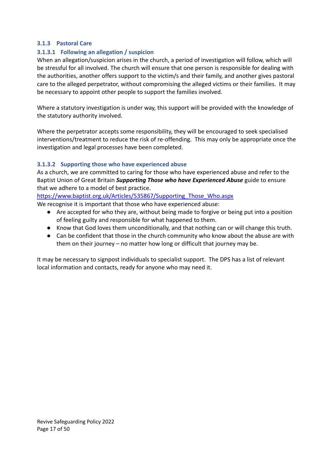# <span id="page-16-0"></span>**3.1.3 Pastoral Care**

# <span id="page-16-1"></span>**3.1.3.1 Following an allegation / suspicion**

When an allegation/suspicion arises in the church, a period of investigation will follow, which will be stressful for all involved. The church will ensure that one person is responsible for dealing with the authorities, another offers support to the victim/s and their family, and another gives pastoral care to the alleged perpetrator, without compromising the alleged victims or their families. It may be necessary to appoint other people to support the families involved.

Where a statutory investigation is under way, this support will be provided with the knowledge of the statutory authority involved.

Where the perpetrator accepts some responsibility, they will be encouraged to seek specialised interventions/treatment to reduce the risk of re-offending. This may only be appropriate once the investigation and legal processes have been completed.

# <span id="page-16-2"></span>**3.1.3.2 Supporting those who have experienced abuse**

As a church, we are committed to caring for those who have experienced abuse and refer to the Baptist Union of Great Britain *Supporting Those who have Experienced Abuse* guide to ensure that we adhere to a model of best practice.

[https://www.baptist.org.uk/Articles/535867/Supporting\\_Those\\_Who.aspx](https://www.baptist.org.uk/Articles/535867/Supporting_Those_Who.aspx)

We recognise it is important that those who have experienced abuse:

- Are accepted for who they are, without being made to forgive or being put into a position of feeling guilty and responsible for what happened to them.
- Know that God loves them unconditionally, and that nothing can or will change this truth.
- Can be confident that those in the church community who know about the abuse are with them on their journey – no matter how long or difficult that journey may be.

It may be necessary to signpost individuals to specialist support. The DPS has a list of relevant local information and contacts, ready for anyone who may need it.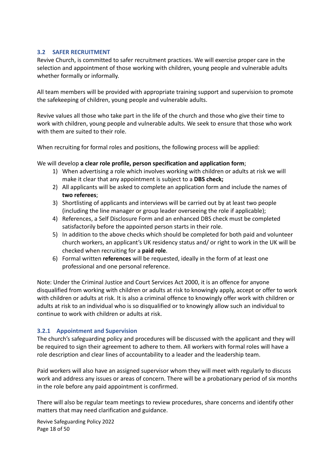## <span id="page-17-0"></span>**3.2 SAFER RECRUITMENT**

Revive Church, is committed to safer recruitment practices. We will exercise proper care in the selection and appointment of those working with children, young people and vulnerable adults whether formally or informally.

All team members will be provided with appropriate training support and supervision to promote the safekeeping of children, young people and vulnerable adults.

Revive values all those who take part in the life of the church and those who give their time to work with children, young people and vulnerable adults. We seek to ensure that those who work with them are suited to their role.

When recruiting for formal roles and positions, the following process will be applied:

We will develop **a clear role profile, person specification and application form**;

- 1) When advertising a role which involves working with children or adults at risk we will make it clear that any appointment is subject to a **DBS check;**
- 2) All applicants will be asked to complete an application form and include the names of **two referees**;
- 3) Shortlisting of applicants and interviews will be carried out by at least two people (including the line manager or group leader overseeing the role if applicable);
- 4) References, a Self Disclosure Form and an enhanced DBS check must be completed satisfactorily before the appointed person starts in their role.
- 5) In addition to the above checks which should be completed for both paid and volunteer church workers, an applicant's UK residency status and/ or right to work in the UK will be checked when recruiting for a **paid role**.
- 6) Formal written **references** will be requested, ideally in the form of at least one professional and one personal reference.

Note: Under the Criminal Justice and Court Services Act 2000, it is an offence for anyone disqualified from working with children or adults at risk to knowingly apply, accept or offer to work with children or adults at risk. It is also a criminal offence to knowingly offer work with children or adults at risk to an individual who is so disqualified or to knowingly allow such an individual to continue to work with children or adults at risk.

# <span id="page-17-1"></span>**3.2.1 Appointment and Supervision**

The church's safeguarding policy and procedures will be discussed with the applicant and they will be required to sign their agreement to adhere to them. All workers with formal roles will have a role description and clear lines of accountability to a leader and the leadership team.

Paid workers will also have an assigned supervisor whom they will meet with regularly to discuss work and address any issues or areas of concern. There will be a probationary period of six months in the role before any paid appointment is confirmed.

There will also be regular team meetings to review procedures, share concerns and identify other matters that may need clarification and guidance.

Revive Safeguarding Policy 2022 Page 18 of 50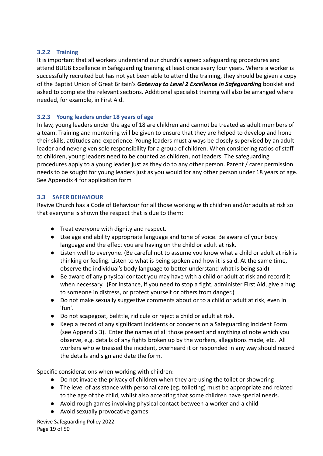## <span id="page-18-0"></span>**3.2.2 Training**

It is important that all workers understand our church's agreed safeguarding procedures and attend BUGB Excellence in Safeguarding training at least once every four years. Where a worker is successfully recruited but has not yet been able to attend the training, they should be given a copy of the Baptist Union of Great Britain's *Gateway to Level 2 Excellence in Safeguarding* booklet and asked to complete the relevant sections. Additional specialist training will also be arranged where needed, for example, in First Aid.

# <span id="page-18-1"></span>**3.2.3 Young leaders under 18 years of age**

In law, young leaders under the age of 18 are children and cannot be treated as adult members of a team. Training and mentoring will be given to ensure that they are helped to develop and hone their skills, attitudes and experience. Young leaders must always be closely supervised by an adult leader and never given sole responsibility for a group of children. When considering ratios of staff to children, young leaders need to be counted as children, not leaders. The safeguarding procedures apply to a young leader just as they do to any other person. Parent / carer permission needs to be sought for young leaders just as you would for any other person under 18 years of age. See Appendix 4 for application form

# <span id="page-18-2"></span>**3.3 SAFER BEHAVIOUR**

Revive Church has a Code of Behaviour for all those working with children and/or adults at risk so that everyone is shown the respect that is due to them:

- Treat everyone with dignity and respect.
- Use age and ability appropriate language and tone of voice. Be aware of your body language and the effect you are having on the child or adult at risk.
- Listen well to everyone. (Be careful not to assume you know what a child or adult at risk is thinking or feeling. Listen to what is being spoken and how it is said. At the same time, observe the individual's body language to better understand what is being said)
- Be aware of any physical contact you may have with a child or adult at risk and record it when necessary. (For instance, if you need to stop a fight, administer First Aid, give a hug to someone in distress, or protect yourself or others from danger.)
- Do not make sexually suggestive comments about or to a child or adult at risk, even in 'fun'.
- Do not scapegoat, belittle, ridicule or reject a child or adult at risk.
- Keep a record of any significant incidents or concerns on a Safeguarding Incident Form (see Appendix 3). Enter the names of all those present and anything of note which you observe, e.g. details of any fights broken up by the workers, allegations made, etc. All workers who witnessed the incident, overheard it or responded in any way should record the details and sign and date the form.

Specific considerations when working with children:

- Do not invade the privacy of children when they are using the toilet or showering
- The level of assistance with personal care (eg. toileting) must be appropriate and related to the age of the child, whilst also accepting that some children have special needs.
- Avoid rough games involving physical contact between a worker and a child
- Avoid sexually provocative games

Revive Safeguarding Policy 2022 Page 19 of 50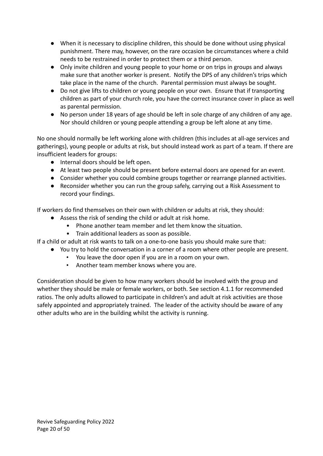- When it is necessary to discipline children, this should be done without using physical punishment. There may, however, on the rare occasion be circumstances where a child needs to be restrained in order to protect them or a third person.
- Only invite children and young people to your home or on trips in groups and always make sure that another worker is present. Notify the DPS of any children's trips which take place in the name of the church. Parental permission must always be sought.
- Do not give lifts to children or young people on your own. Ensure that if transporting children as part of your church role, you have the correct insurance cover in place as well as parental permission.
- No person under 18 years of age should be left in sole charge of any children of any age. Nor should children or young people attending a group be left alone at any time.

No one should normally be left working alone with children (this includes at all-age services and gatherings), young people or adults at risk, but should instead work as part of a team. If there are insufficient leaders for groups:

- Internal doors should be left open.
- At least two people should be present before external doors are opened for an event.
- Consider whether you could combine groups together or rearrange planned activities.
- Reconsider whether you can run the group safely, carrying out a Risk Assessment to record your findings.

If workers do find themselves on their own with children or adults at risk, they should:

- Assess the risk of sending the child or adult at risk home.
	- Phone another team member and let them know the situation.
		- Train additional leaders as soon as possible.

If a child or adult at risk wants to talk on a one-to-one basis you should make sure that:

- You try to hold the conversation in a corner of a room where other people are present.
	- You leave the door open if you are in a room on your own.
	- Another team member knows where you are.

Consideration should be given to how many workers should be involved with the group and whether they should be male or female workers, or both. See section 4.1.1 for recommended ratios. The only adults allowed to participate in children's and adult at risk activities are those safely appointed and appropriately trained. The leader of the activity should be aware of any other adults who are in the building whilst the activity is running.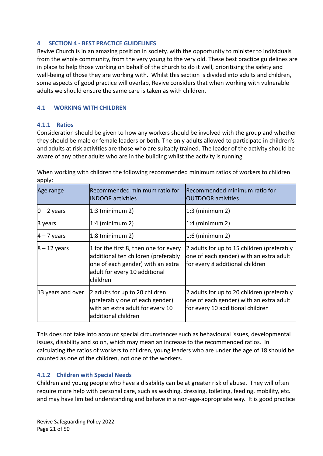## <span id="page-20-0"></span>**4 SECTION 4 - BEST PRACTICE GUIDELINES**

Revive Church is in an amazing position in society, with the opportunity to minister to individuals from the whole community, from the very young to the very old. These best practice guidelines are in place to help those working on behalf of the church to do it well, prioritising the safety and well-being of those they are working with. Whilst this section is divided into adults and children, some aspects of good practice will overlap, Revive considers that when working with vulnerable adults we should ensure the same care is taken as with children.

## <span id="page-20-1"></span>**4.1 WORKING WITH CHILDREN**

### <span id="page-20-2"></span>**4.1.1 Ratios**

Consideration should be given to how any workers should be involved with the group and whether they should be male or female leaders or both. The only adults allowed to participate in children's and adults at risk activities are those who are suitably trained. The leader of the activity should be aware of any other adults who are in the building whilst the activity is running

Age range **Recommended minimum ratio for** INDOOR activities Recommended minimum ratio for OUTDOOR activities 0 – 2 years 1:3 (minimum 2) 1:3 (minimum 2) 3 years 1:4 (minimum 2) 1:4 (minimum 2) 4 – 7 years 1:8 (minimum 2) 1:6 (minimum 2)  $\vert 8 - 12$  years  $\vert 1$  for the first 8, then one for every additional ten children (preferably one of each gender) with an extra adult for every 10 additional children 2 adults for up to 15 children (preferably one of each gender) with an extra adult for every 8 additional children 13 years and over  $\vert$ 2 adults for up to 20 children (preferably one of each gender) with an extra adult for every 10 additional children 2 adults for up to 20 children (preferably one of each gender) with an extra adult for every 10 additional children

When working with children the following recommended minimum ratios of workers to children apply:

This does not take into account special circumstances such as behavioural issues, developmental issues, disability and so on, which may mean an increase to the recommended ratios. In calculating the ratios of workers to children, young leaders who are under the age of 18 should be counted as one of the children, not one of the workers.

# <span id="page-20-3"></span>**4.1.2 Children with Special Needs**

Children and young people who have a disability can be at greater risk of abuse. They will often require more help with personal care, such as washing, dressing, toileting, feeding, mobility, etc. and may have limited understanding and behave in a non-age-appropriate way. It is good practice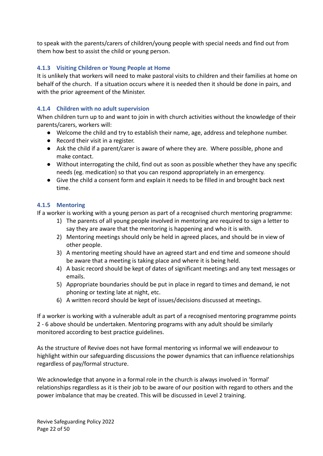to speak with the parents/carers of children/young people with special needs and find out from them how best to assist the child or young person.

# <span id="page-21-0"></span>**4.1.3 Visiting Children or Young People at Home**

It is unlikely that workers will need to make pastoral visits to children and their families at home on behalf of the church. If a situation occurs where it is needed then it should be done in pairs, and with the prior agreement of the Minister.

# <span id="page-21-1"></span>**4.1.4 Children with no adult supervision**

When children turn up to and want to join in with church activities without the knowledge of their parents/carers, workers will:

- Welcome the child and try to establish their name, age, address and telephone number.
- Record their visit in a register.
- Ask the child if a parent/carer is aware of where they are. Where possible, phone and make contact.
- Without interrogating the child, find out as soon as possible whether they have any specific needs (eg. medication) so that you can respond appropriately in an emergency.
- Give the child a consent form and explain it needs to be filled in and brought back next time.

# <span id="page-21-2"></span>**4.1.5 Mentoring**

If a worker is working with a young person as part of a recognised church mentoring programme:

- 1) The parents of all young people involved in mentoring are required to sign a letter to say they are aware that the mentoring is happening and who it is with.
- 2) Mentoring meetings should only be held in agreed places, and should be in view of other people.
- 3) A mentoring meeting should have an agreed start and end time and someone should be aware that a meeting is taking place and where it is being held.
- 4) A basic record should be kept of dates of significant meetings and any text messages or emails.
- 5) Appropriate boundaries should be put in place in regard to times and demand, ie not phoning or texting late at night, etc.
- 6) A written record should be kept of issues/decisions discussed at meetings.

If a worker is working with a vulnerable adult as part of a recognised mentoring programme points 2 - 6 above should be undertaken. Mentoring programs with any adult should be similarly monitored according to best practice guidelines.

As the structure of Revive does not have formal mentoring vs informal we will endeavour to highlight within our safeguarding discussions the power dynamics that can influence relationships regardless of pay/formal structure.

We acknowledge that anyone in a formal role in the church is always involved in 'formal' relationships regardless as it is their job to be aware of our position with regard to others and the power imbalance that may be created. This will be discussed in Level 2 training.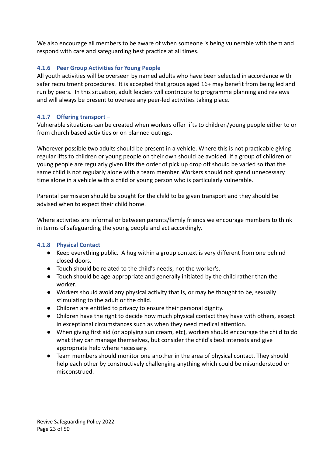We also encourage all members to be aware of when someone is being vulnerable with them and respond with care and safeguarding best practice at all times.

# <span id="page-22-0"></span>**4.1.6 Peer Group Activities for Young People**

All youth activities will be overseen by named adults who have been selected in accordance with safer recruitment procedures. It is accepted that groups aged 16+ may benefit from being led and run by peers. In this situation, adult leaders will contribute to programme planning and reviews and will always be present to oversee any peer-led activities taking place.

# <span id="page-22-1"></span>**4.1.7 Offering transport –**

Vulnerable situations can be created when workers offer lifts to children/young people either to or from church based activities or on planned outings.

Wherever possible two adults should be present in a vehicle. Where this is not practicable giving regular lifts to children or young people on their own should be avoided. If a group of children or young people are regularly given lifts the order of pick up drop off should be varied so that the same child is not regularly alone with a team member. Workers should not spend unnecessary time alone in a vehicle with a child or young person who is particularly vulnerable.

Parental permission should be sought for the child to be given transport and they should be advised when to expect their child home.

Where activities are informal or between parents/family friends we encourage members to think in terms of safeguarding the young people and act accordingly.

# <span id="page-22-2"></span>**4.1.8 Physical Contact**

- Keep everything public. A hug within a group context is very different from one behind closed doors.
- Touch should be related to the child's needs, not the worker's.
- Touch should be age-appropriate and generally initiated by the child rather than the worker.
- Workers should avoid any physical activity that is, or may be thought to be, sexually stimulating to the adult or the child.
- Children are entitled to privacy to ensure their personal dignity.
- Children have the right to decide how much physical contact they have with others, except in exceptional circumstances such as when they need medical attention.
- When giving first aid (or applying sun cream, etc), workers should encourage the child to do what they can manage themselves, but consider the child's best interests and give appropriate help where necessary.
- Team members should monitor one another in the area of physical contact. They should help each other by constructively challenging anything which could be misunderstood or misconstrued.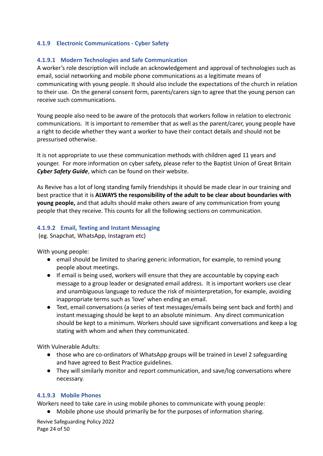## <span id="page-23-0"></span>**4.1.9 Electronic Communications - Cyber Safety**

### <span id="page-23-1"></span>**4.1.9.1 Modern Technologies and Safe Communication**

A worker's role description will include an acknowledgement and approval of technologies such as email, social networking and mobile phone communications as a legitimate means of communicating with young people. It should also include the expectations of the church in relation to their use. On the general consent form, parents/carers sign to agree that the young person can receive such communications.

Young people also need to be aware of the protocols that workers follow in relation to electronic communications. It is important to remember that as well as the parent/carer, young people have a right to decide whether they want a worker to have their contact details and should not be pressurised otherwise.

It is not appropriate to use these communication methods with children aged 11 years and younger. For more information on cyber safety, please refer to the Baptist Union of Great Britain *Cyber Safety Guide*, which can be found on their website.

As Revive has a lot of long standing family friendships it should be made clear in our training and best practice that it is **ALWAYS the responsibility of the adult to be clear about boundaries with young people,** and that adults should make others aware of any communication from young people that they receive. This counts for all the following sections on communication.

### <span id="page-23-2"></span>**4.1.9.2 Email, Texting and Instant Messaging**

(eg. Snapchat, WhatsApp, Instagram etc)

With young people:

- email should be limited to sharing generic information, for example, to remind young people about meetings.
- If email is being used, workers will ensure that they are accountable by copying each message to a group leader or designated email address. It is important workers use clear and unambiguous language to reduce the risk of misinterpretation, for example, avoiding inappropriate terms such as 'love' when ending an email.
- **●** Text, email conversations (a series of text messages/emails being sent back and forth) and instant messaging should be kept to an absolute minimum. Any direct communication should be kept to a minimum. Workers should save significant conversations and keep a log stating with whom and when they communicated.

With Vulnerable Adults:

- those who are co-ordinators of WhatsApp groups will be trained in Level 2 safeguarding and have agreed to Best Practice guidelines.
- They will similarly monitor and report communication, and save/log conversations where necessary.

#### <span id="page-23-3"></span>**4.1.9.3 Mobile Phones**

Workers need to take care in using mobile phones to communicate with young people:

**●** Mobile phone use should primarily be for the purposes of information sharing.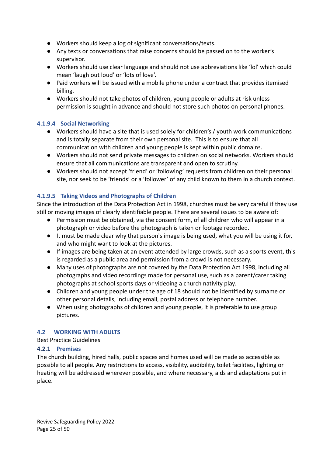- **●** Workers should keep a log of significant conversations/texts.
- **●** Any texts or conversations that raise concerns should be passed on to the worker's supervisor.
- **●** Workers should use clear language and should not use abbreviations like 'lol' which could mean 'laugh out loud' or 'lots of love'.
- **●** Paid workers will be issued with a mobile phone under a contract that provides itemised billing.
- **●** Workers should not take photos of children, young people or adults at risk unless permission is sought in advance and should not store such photos on personal phones.

# <span id="page-24-0"></span>**4.1.9.4 Social Networking**

- **●** Workers should have a site that is used solely for children's / youth work communications and is totally separate from their own personal site. This is to ensure that all communication with children and young people is kept within public domains.
- **●** Workers should not send private messages to children on social networks. Workers should ensure that all communications are transparent and open to scrutiny.
- **●** Workers should not accept 'friend' or 'following' requests from children on their personal site, nor seek to be 'friends' or a 'follower' of any child known to them in a church context.

# <span id="page-24-1"></span>**4.1.9.5 Taking Videos and Photographs of Children**

Since the introduction of the Data Protection Act in 1998, churches must be very careful if they use still or moving images of clearly identifiable people. There are several issues to be aware of:

- Permission must be obtained, via the consent form, of all children who will appear in a photograph or video before the photograph is taken or footage recorded.
- It must be made clear why that person's image is being used, what you will be using it for, and who might want to look at the pictures.
- If images are being taken at an event attended by large crowds, such as a sports event, this is regarded as a public area and permission from a crowd is not necessary.
- Many uses of photographs are not covered by the Data Protection Act 1998, including all photographs and video recordings made for personal use, such as a parent/carer taking photographs at school sports days or videoing a church nativity play.
- Children and young people under the age of 18 should not be identified by surname or other personal details, including email, postal address or telephone number.
- When using photographs of children and young people, it is preferable to use group pictures.

# <span id="page-24-2"></span>**4.2 WORKING WITH ADULTS**

Best Practice Guidelines

# <span id="page-24-3"></span>**4.2.1 Premises**

The church building, hired halls, public spaces and homes used will be made as accessible as possible to all people. Any restrictions to access, visibility, audibility, toilet facilities, lighting or heating will be addressed wherever possible, and where necessary, aids and adaptations put in place.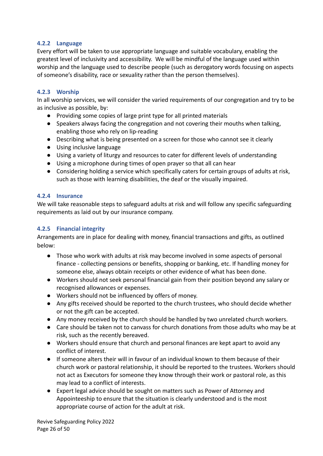# <span id="page-25-0"></span>**4.2.2 Language**

Every effort will be taken to use appropriate language and suitable vocabulary, enabling the greatest level of inclusivity and accessibility. We will be mindful of the language used within worship and the language used to describe people (such as derogatory words focusing on aspects of someone's disability, race or sexuality rather than the person themselves).

# <span id="page-25-1"></span>**4.2.3 Worship**

In all worship services, we will consider the varied requirements of our congregation and try to be as inclusive as possible, by:

- Providing some copies of large print type for all printed materials
- Speakers always facing the congregation and not covering their mouths when talking, enabling those who rely on lip-reading
- Describing what is being presented on a screen for those who cannot see it clearly
- Using inclusive language
- Using a variety of liturgy and resources to cater for different levels of understanding
- Using a microphone during times of open prayer so that all can hear
- Considering holding a service which specifically caters for certain groups of adults at risk, such as those with learning disabilities, the deaf or the visually impaired.

# <span id="page-25-2"></span>**4.2.4 Insurance**

We will take reasonable steps to safeguard adults at risk and will follow any specific safeguarding requirements as laid out by our insurance company.

# <span id="page-25-3"></span>**4.2.5 Financial integrity**

Arrangements are in place for dealing with money, financial transactions and gifts, as outlined below:

- Those who work with adults at risk may become involved in some aspects of personal finance - collecting pensions or benefits, shopping or banking, etc. If handling money for someone else, always obtain receipts or other evidence of what has been done.
- Workers should not seek personal financial gain from their position beyond any salary or recognised allowances or expenses.
- Workers should not be influenced by offers of money.
- Any gifts received should be reported to the church trustees, who should decide whether or not the gift can be accepted.
- Any money received by the church should be handled by two unrelated church workers.
- Care should be taken not to canvass for church donations from those adults who may be at risk, such as the recently bereaved.
- Workers should ensure that church and personal finances are kept apart to avoid any conflict of interest.
- If someone alters their will in favour of an individual known to them because of their church work or pastoral relationship, it should be reported to the trustees. Workers should not act as Executors for someone they know through their work or pastoral role, as this may lead to a conflict of interests.
- Expert legal advice should be sought on matters such as Power of Attorney and Appointeeship to ensure that the situation is clearly understood and is the most appropriate course of action for the adult at risk.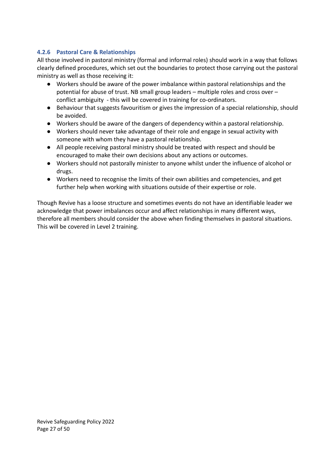# <span id="page-26-0"></span>**4.2.6 Pastoral Care & Relationships**

All those involved in pastoral ministry (formal and informal roles) should work in a way that follows clearly defined procedures, which set out the boundaries to protect those carrying out the pastoral ministry as well as those receiving it:

- Workers should be aware of the power imbalance within pastoral relationships and the potential for abuse of trust. NB small group leaders – multiple roles and cross over – conflict ambiguity - this will be covered in training for co-ordinators.
- Behaviour that suggests favouritism or gives the impression of a special relationship, should be avoided.
- Workers should be aware of the dangers of dependency within a pastoral relationship.
- Workers should never take advantage of their role and engage in sexual activity with someone with whom they have a pastoral relationship.
- All people receiving pastoral ministry should be treated with respect and should be encouraged to make their own decisions about any actions or outcomes.
- Workers should not pastorally minister to anyone whilst under the influence of alcohol or drugs.
- Workers need to recognise the limits of their own abilities and competencies, and get further help when working with situations outside of their expertise or role.

Though Revive has a loose structure and sometimes events do not have an identifiable leader we acknowledge that power imbalances occur and affect relationships in many different ways, therefore all members should consider the above when finding themselves in pastoral situations. This will be covered in Level 2 training.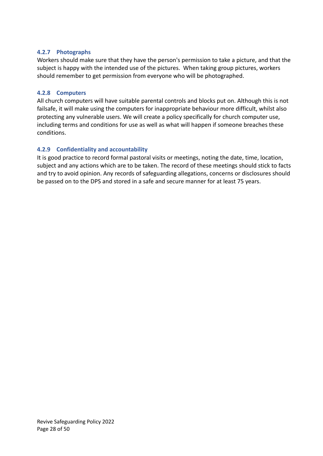# <span id="page-27-0"></span>**4.2.7 Photographs**

Workers should make sure that they have the person's permission to take a picture, and that the subject is happy with the intended use of the pictures. When taking group pictures, workers should remember to get permission from everyone who will be photographed.

# <span id="page-27-1"></span>**4.2.8 Computers**

All church computers will have suitable parental controls and blocks put on. Although this is not failsafe, it will make using the computers for inappropriate behaviour more difficult, whilst also protecting any vulnerable users. We will create a policy specifically for church computer use, including terms and conditions for use as well as what will happen if someone breaches these conditions.

# <span id="page-27-2"></span>**4.2.9 Confidentiality and accountability**

It is good practice to record formal pastoral visits or meetings, noting the date, time, location, subject and any actions which are to be taken. The record of these meetings should stick to facts and try to avoid opinion. Any records of safeguarding allegations, concerns or disclosures should be passed on to the DPS and stored in a safe and secure manner for at least 75 years.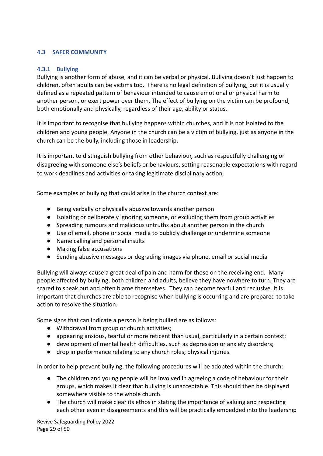# <span id="page-28-0"></span>**4.3 SAFER COMMUNITY**

# <span id="page-28-1"></span>**4.3.1 Bullying**

Bullying is another form of abuse, and it can be verbal or physical. Bullying doesn't just happen to children, often adults can be victims too. There is no legal definition of bullying, but it is usually defined as a repeated pattern of behaviour intended to cause emotional or physical harm to another person, or exert power over them. The effect of bullying on the victim can be profound, both emotionally and physically, regardless of their age, ability or status.

It is important to recognise that bullying happens within churches, and it is not isolated to the children and young people. Anyone in the church can be a victim of bullying, just as anyone in the church can be the bully, including those in leadership.

It is important to distinguish bullying from other behaviour, such as respectfully challenging or disagreeing with someone else's beliefs or behaviours, setting reasonable expectations with regard to work deadlines and activities or taking legitimate disciplinary action.

Some examples of bullying that could arise in the church context are:

- Being verbally or physically abusive towards another person
- Isolating or deliberately ignoring someone, or excluding them from group activities
- Spreading rumours and malicious untruths about another person in the church
- Use of email, phone or social media to publicly challenge or undermine someone
- Name calling and personal insults
- Making false accusations
- Sending abusive messages or degrading images via phone, email or social media

Bullying will always cause a great deal of pain and harm for those on the receiving end. Many people affected by bullying, both children and adults, believe they have nowhere to turn. They are scared to speak out and often blame themselves. They can become fearful and reclusive. It is important that churches are able to recognise when bullying is occurring and are prepared to take action to resolve the situation.

Some signs that can indicate a person is being bullied are as follows:

- Withdrawal from group or church activities;
- appearing anxious, tearful or more reticent than usual, particularly in a certain context;
- development of mental health difficulties, such as depression or anxiety disorders;
- drop in performance relating to any church roles; physical injuries.

In order to help prevent bullying, the following procedures will be adopted within the church:

- The children and young people will be involved in agreeing a code of behaviour for their groups, which makes it clear that bullying is unacceptable. This should then be displayed somewhere visible to the whole church.
- The church will make clear its ethos in stating the importance of valuing and respecting each other even in disagreements and this will be practically embedded into the leadership

Revive Safeguarding Policy 2022 Page 29 of 50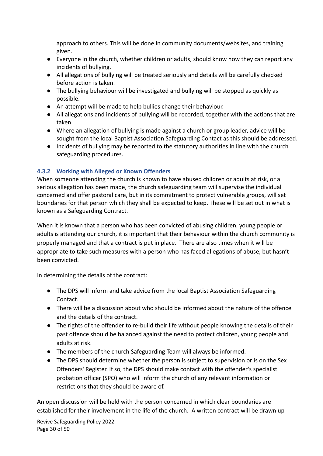approach to others. This will be done in community documents/websites, and training given.

- Everyone in the church, whether children or adults, should know how they can report any incidents of bullying.
- All allegations of bullying will be treated seriously and details will be carefully checked before action is taken.
- The bullying behaviour will be investigated and bullying will be stopped as quickly as possible.
- An attempt will be made to help bullies change their behaviour.
- All allegations and incidents of bullying will be recorded, together with the actions that are taken.
- Where an allegation of bullying is made against a church or group leader, advice will be sought from the local Baptist Association Safeguarding Contact as this should be addressed.
- Incidents of bullying may be reported to the statutory authorities in line with the church safeguarding procedures.

# <span id="page-29-0"></span>**4.3.2 Working with Alleged or Known Offenders**

When someone attending the church is known to have abused children or adults at risk, or a serious allegation has been made, the church safeguarding team will supervise the individual concerned and offer pastoral care, but in its commitment to protect vulnerable groups, will set boundaries for that person which they shall be expected to keep. These will be set out in what is known as a Safeguarding Contract.

When it is known that a person who has been convicted of abusing children, young people or adults is attending our church, it is important that their behaviour within the church community is properly managed and that a contract is put in place. There are also times when it will be appropriate to take such measures with a person who has faced allegations of abuse, but hasn't been convicted.

In determining the details of the contract:

- The DPS will inform and take advice from the local Baptist Association Safeguarding Contact.
- There will be a discussion about who should be informed about the nature of the offence and the details of the contract.
- The rights of the offender to re-build their life without people knowing the details of their past offence should be balanced against the need to protect children, young people and adults at risk.
- The members of the church Safeguarding Team will always be informed.
- The DPS should determine whether the person is subject to supervision or is on the Sex Offenders' Register. If so, the DPS should make contact with the offender's specialist probation officer (SPO) who will inform the church of any relevant information or restrictions that they should be aware of.

An open discussion will be held with the person concerned in which clear boundaries are established for their involvement in the life of the church. A written contract will be drawn up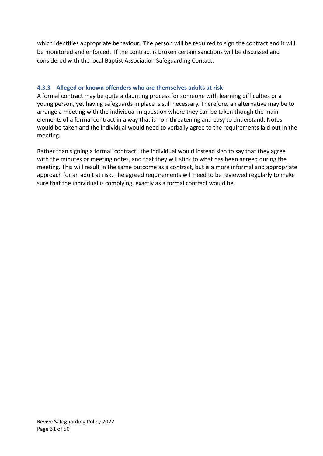which identifies appropriate behaviour. The person will be required to sign the contract and it will be monitored and enforced. If the contract is broken certain sanctions will be discussed and considered with the local Baptist Association Safeguarding Contact.

# <span id="page-30-0"></span>**4.3.3 Alleged or known offenders who are themselves adults at risk**

A formal contract may be quite a daunting process for someone with learning difficulties or a young person, yet having safeguards in place is still necessary. Therefore, an alternative may be to arrange a meeting with the individual in question where they can be taken though the main elements of a formal contract in a way that is non-threatening and easy to understand. Notes would be taken and the individual would need to verbally agree to the requirements laid out in the meeting.

Rather than signing a formal 'contract', the individual would instead sign to say that they agree with the minutes or meeting notes, and that they will stick to what has been agreed during the meeting. This will result in the same outcome as a contract, but is a more informal and appropriate approach for an adult at risk. The agreed requirements will need to be reviewed regularly to make sure that the individual is complying, exactly as a formal contract would be.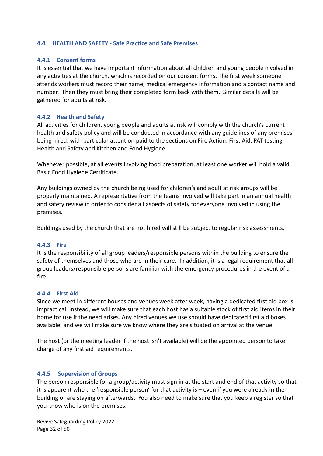### <span id="page-31-0"></span>**4.4 HEALTH AND SAFETY - Safe Practice and Safe Premises**

## <span id="page-31-1"></span>**4.4.1 Consent forms**

It is essential that we have important information about all children and young people involved in any activities at the church, which is recorded on our consent forms**.** The first week someone attends workers must record their name, medical emergency information and a contact name and number. Then they must bring their completed form back with them. Similar details will be gathered for adults at risk.

## <span id="page-31-2"></span>**4.4.2 Health and Safety**

All activities for children, young people and adults at risk will comply with the church's current health and safety policy and will be conducted in accordance with any guidelines of any premises being hired, with particular attention paid to the sections on Fire Action, First Aid, PAT testing, Health and Safety and Kitchen and Food Hygiene.

Whenever possible, at all events involving food preparation, at least one worker will hold a valid Basic Food Hygiene Certificate.

Any buildings owned by the church being used for children's and adult at risk groups will be properly maintained. A representative from the teams involved will take part in an annual health and safety review in order to consider all aspects of safety for everyone involved in using the premises.

Buildings used by the church that are not hired will still be subject to regular risk assessments.

#### <span id="page-31-3"></span>**4.4.3 Fire**

It is the responsibility of all group leaders/responsible persons within the building to ensure the safety of themselves and those who are in their care. In addition, it is a legal requirement that all group leaders/responsible persons are familiar with the emergency procedures in the event of a fire.

#### <span id="page-31-4"></span>**4.4.4 First Aid**

Since we meet in different houses and venues week after week, having a dedicated first aid box is impractical. Instead, we will make sure that each host has a suitable stock of first aid items in their home for use if the need arises. Any hired venues we use should have dedicated first aid boxes available, and we will make sure we know where they are situated on arrival at the venue.

The host (or the meeting leader if the host isn't available) will be the appointed person to take charge of any first aid requirements.

# <span id="page-31-5"></span>**4.4.5 Supervision of Groups**

The person responsible for a group/activity must sign in at the start and end of that activity so that it is apparent who the 'responsible person' for that activity is – even if you were already in the building or are staying on afterwards. You also need to make sure that you keep a register so that you know who is on the premises.

Revive Safeguarding Policy 2022 Page 32 of 50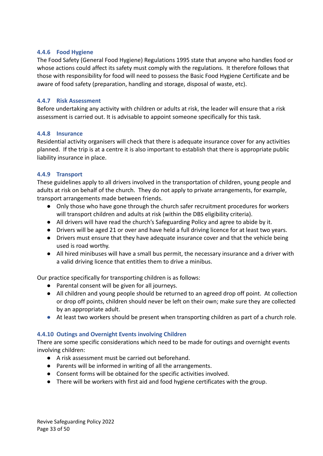# <span id="page-32-0"></span>**4.4.6 Food Hygiene**

The Food Safety (General Food Hygiene) Regulations 1995 state that anyone who handles food or whose actions could affect its safety must comply with the regulations. It therefore follows that those with responsibility for food will need to possess the Basic Food Hygiene Certificate and be aware of food safety (preparation, handling and storage, disposal of waste, etc).

## <span id="page-32-1"></span>**4.4.7 Risk Assessment**

Before undertaking any activity with children or adults at risk, the leader will ensure that a risk assessment is carried out. It is advisable to appoint someone specifically for this task.

### <span id="page-32-2"></span>**4.4.8 Insurance**

Residential activity organisers will check that there is adequate insurance cover for any activities planned. If the trip is at a centre it is also important to establish that there is appropriate public liability insurance in place.

# <span id="page-32-3"></span>**4.4.9 Transport**

These guidelines apply to all drivers involved in the transportation of children, young people and adults at risk on behalf of the church. They do not apply to private arrangements, for example, transport arrangements made between friends.

- Only those who have gone through the church safer recruitment procedures for workers will transport children and adults at risk (within the DBS eligibility criteria).
- All drivers will have read the church's Safeguarding Policy and agree to abide by it.
- Drivers will be aged 21 or over and have held a full driving licence for at least two years.
- Drivers must ensure that they have adequate insurance cover and that the vehicle being used is road worthy.
- All hired minibuses will have a small bus permit, the necessary insurance and a driver with a valid driving licence that entitles them to drive a minibus.

Our practice specifically for transporting children is as follows:

- Parental consent will be given for all journeys.
- All children and young people should be returned to an agreed drop off point. At collection or drop off points, children should never be left on their own; make sure they are collected by an appropriate adult.
- At least two workers should be present when transporting children as part of a church role.

# <span id="page-32-4"></span>**4.4.10 Outings and Overnight Events involving Children**

There are some specific considerations which need to be made for outings and overnight events involving children:

- A risk assessment must be carried out beforehand.
- Parents will be informed in writing of all the arrangements.
- Consent forms will be obtained for the specific activities involved.
- There will be workers with first aid and food hygiene certificates with the group.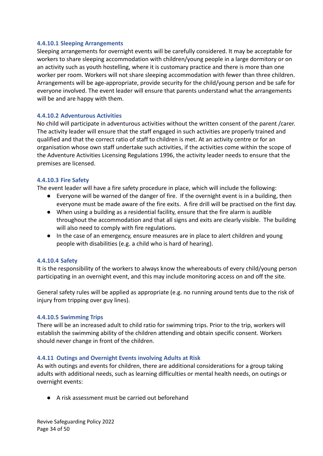#### <span id="page-33-0"></span>**4.4.10.1 Sleeping Arrangements**

Sleeping arrangements for overnight events will be carefully considered. It may be acceptable for workers to share sleeping accommodation with children/young people in a large dormitory or on an activity such as youth hostelling, where it is customary practice and there is more than one worker per room. Workers will not share sleeping accommodation with fewer than three children. Arrangements will be age-appropriate, provide security for the child/young person and be safe for everyone involved. The event leader will ensure that parents understand what the arrangements will be and are happy with them.

## <span id="page-33-1"></span>**4.4.10.2 Adventurous Activities**

No child will participate in adventurous activities without the written consent of the parent /carer. The activity leader will ensure that the staff engaged in such activities are properly trained and qualified and that the correct ratio of staff to children is met. At an activity centre or for an organisation whose own staff undertake such activities, if the activities come within the scope of the Adventure Activities Licensing Regulations 1996, the activity leader needs to ensure that the premises are licensed.

### <span id="page-33-2"></span>**4.4.10.3 Fire Safety**

The event leader will have a fire safety procedure in place, which will include the following:

- Everyone will be warned of the danger of fire. If the overnight event is in a building, then everyone must be made aware of the fire exits. A fire drill will be practised on the first day.
- When using a building as a residential facility, ensure that the fire alarm is audible throughout the accommodation and that all signs and exits are clearly visible. The building will also need to comply with fire regulations.
- In the case of an emergency, ensure measures are in place to alert children and young people with disabilities (e.g. a child who is hard of hearing).

#### <span id="page-33-3"></span>**4.4.10.4 Safety**

It is the responsibility of the workers to always know the whereabouts of every child/young person participating in an overnight event, and this may include monitoring access on and off the site.

General safety rules will be applied as appropriate (e.g. no running around tents due to the risk of injury from tripping over guy lines).

#### <span id="page-33-4"></span>**4.4.10.5 Swimming Trips**

There will be an increased adult to child ratio for swimming trips. Prior to the trip, workers will establish the swimming ability of the children attending and obtain specific consent. Workers should never change in front of the children.

# <span id="page-33-5"></span>**4.4.11 Outings and Overnight Events involving Adults at Risk**

As with outings and events for children, there are additional considerations for a group taking adults with additional needs, such as learning difficulties or mental health needs, on outings or overnight events:

● A risk assessment must be carried out beforehand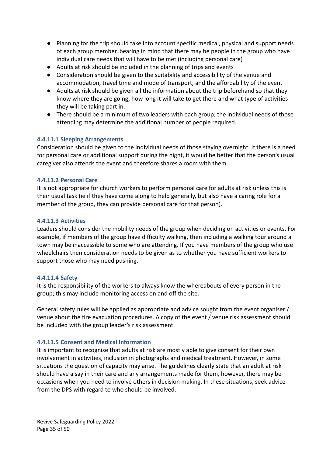- Planning for the trip should take into account specific medical, physical and support needs of each group member, bearing in mind that there may be people in the group who have individual care needs that will have to be met (including personal care)
- Adults at risk should be included in the planning of trips and events
- Consideration should be given to the suitability and accessibility of the venue and accommodation, travel time and mode of transport, and the affordability of the event
- Adults at risk should be given all the information about the trip beforehand so that they know where they are going, how long it will take to get there and what type of activities they will be taking part in.
- There should be a minimum of two leaders with each group; the individual needs of those attending may determine the additional number of people required.

# <span id="page-34-0"></span>**4.4.11.1 Sleeping Arrangements**

Consideration should be given to the individual needs of those staying overnight. If there is a need for personal care or additional support during the night, it would be better that the person's usual caregiver also attends the event and therefore shares a room with them.

### <span id="page-34-1"></span>**4.4.11.2 Personal Care**

It is not appropriate for church workers to perform personal care for adults at risk unless this is their usual task (ie if they have come along to help generally, but also have a caring role for a member of the group, they can provide personal care for that person).

#### <span id="page-34-2"></span>**4.4.11.3 Activities**

Leaders should consider the mobility needs of the group when deciding on activities or events. For example, if members of the group have difficulty walking, then including a walking tour around a town may be inaccessible to some who are attending. If you have members of the group who use wheelchairs then consideration needs to be given as to whether you have sufficient workers to support those who may need pushing.

#### <span id="page-34-3"></span>**4.4.11.4 Safety**

It is the responsibility of the workers to always know the whereabouts of every person in the group; this may include monitoring access on and off the site.

General safety rules will be applied as appropriate and advice sought from the event organiser / venue about the fire evacuation procedures. A copy of the event / venue risk assessment should be included with the group leader's risk assessment.

# <span id="page-34-4"></span>**4.4.11.5 Consent and Medical Information**

It is important to recognise that adults at risk are mostly able to give consent for their own involvement in activities, inclusion in photographs and medical treatment. However, in some situations the question of capacity may arise. The guidelines clearly state that an adult at risk should have a say in their care and any arrangements made for them, however, there may be occasions when you need to involve others in decision making. In these situations, seek advice from the DPS with regard to who should be involved.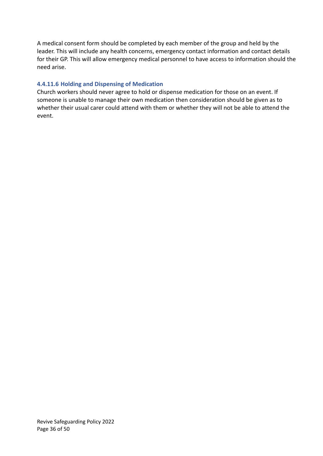A medical consent form should be completed by each member of the group and held by the leader. This will include any health concerns, emergency contact information and contact details for their GP. This will allow emergency medical personnel to have access to information should the need arise.

# <span id="page-35-0"></span>**4.4.11.6 Holding and Dispensing of Medication**

Church workers should never agree to hold or dispense medication for those on an event. If someone is unable to manage their own medication then consideration should be given as to whether their usual carer could attend with them or whether they will not be able to attend the event.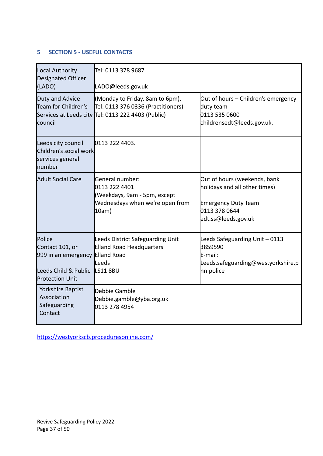# <span id="page-36-0"></span>**5 SECTION 5 - USEFUL CONTACTS**

| Local Authority<br>Designated Officer<br>(LADO)                                                           | Tel: 0113 378 9687<br>LADO@leeds.gov.uk                                                                             |                                                                                                                                     |
|-----------------------------------------------------------------------------------------------------------|---------------------------------------------------------------------------------------------------------------------|-------------------------------------------------------------------------------------------------------------------------------------|
| Duty and Advice<br>Team for Children's<br>Services at Leeds city<br>council                               | (Monday to Friday, 8am to 6pm).<br>Tel: 0113 376 0336 (Practitioners)<br>Tel: 0113 222 4403 (Public)                | Out of hours - Children's emergency<br>duty team<br>0113 535 0600<br>childrensedt@leeds.gov.uk.                                     |
| Leeds city council<br>Children's social work<br>services general<br>lnumber                               | 0113 222 4403.                                                                                                      |                                                                                                                                     |
| Adult Social Care                                                                                         | General number:<br><b>0113 222 4401</b><br>(Weekdays, 9am - 5pm, except<br>Wednesdays when we're open from<br>10am) | Out of hours (weekends, bank<br>holidays and all other times)<br><b>Emergency Duty Team</b><br>0113 378 0644<br>edt.ss@leeds.gov.uk |
| <b>Police</b><br>Contact 101, or<br>999 in an emergency<br>Leeds Child & Public<br><b>Protection Unit</b> | Leeds District Safeguarding Unit<br><b>Elland Road Headquarters</b><br>Elland Road<br>lLeeds<br>LS118BU             | Leeds Safeguarding Unit - 0113<br>3859590<br>lE-mail:<br>Leeds.safeguarding@westyorkshire.p<br>nn.police                            |
| Yorkshire Baptist<br>Association<br>Safeguarding<br>Contact                                               | Debbie Gamble<br>Debbie.gamble@yba.org.uk<br>0113 278 4954                                                          |                                                                                                                                     |

<https://westyorkscb.proceduresonline.com/>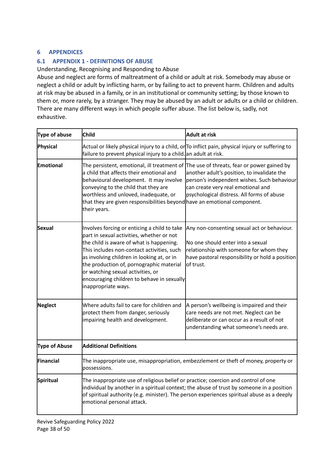# <span id="page-37-0"></span>**6 APPENDICES**

# <span id="page-37-1"></span>**6.1 APPENDIX 1 - DEFINITIONS OF ABUSE**

Understanding, Recognising and Responding to Abuse

Abuse and neglect are forms of maltreatment of a child or adult at risk. Somebody may abuse or neglect a child or adult by inflicting harm, or by failing to act to prevent harm. Children and adults at risk may be abused in a family, or in an institutional or community setting; by those known to them or, more rarely, by a stranger. They may be abused by an adult or adults or a child or children. There are many different ways in which people suffer abuse. The list below is, sadly, not exhaustive.

| Type of abuse    | <b>Child</b>                                                                                                                                                                                                                                                                                                                                                                            | <b>Adult at risk</b>                                                                                                                                                                                                          |  |
|------------------|-----------------------------------------------------------------------------------------------------------------------------------------------------------------------------------------------------------------------------------------------------------------------------------------------------------------------------------------------------------------------------------------|-------------------------------------------------------------------------------------------------------------------------------------------------------------------------------------------------------------------------------|--|
| Physical         | failure to prevent physical injury to a child. an adult at risk.                                                                                                                                                                                                                                                                                                                        | Actual or likely physical injury to a child, or To inflict pain, physical injury or suffering to                                                                                                                              |  |
| Emotional        | The persistent, emotional, ill treatment of<br>a child that affects their emotional and<br>behavioural development. It may involve<br>conveying to the child that they are<br>worthless and unloved, inadequate, or<br>that they are given responsibilities beyond have an emotional component.<br>their years.                                                                         | The use of threats, fear or power gained by<br>another adult's position, to invalidate the<br>person's independent wishes. Such behaviour<br>can create very real emotional and<br>psychological distress. All forms of abuse |  |
| Sexual           | Involves forcing or enticing a child to take<br>part in sexual activities, whether or not<br>the child is aware of what is happening.<br>This includes non-contact activities, such<br>as involving children in looking at, or in<br>the production of, pornographic material<br>or watching sexual activities, or<br>encouraging children to behave in sexually<br>inappropriate ways. | Any non-consenting sexual act or behaviour.<br>No one should enter into a sexual<br>relationship with someone for whom they<br>have pastoral responsibility or hold a position<br>of trust.                                   |  |
| Neglect          | Where adults fail to care for children and<br>protect them from danger, seriously<br>impairing health and development.                                                                                                                                                                                                                                                                  | A person's wellbeing is impaired and their<br>care needs are not met. Neglect can be<br>deliberate or can occur as a result of not<br>understanding what someone's needs are.                                                 |  |
| Type of Abuse    | <b>Additional Definitions</b>                                                                                                                                                                                                                                                                                                                                                           |                                                                                                                                                                                                                               |  |
| Financial        | possessions.                                                                                                                                                                                                                                                                                                                                                                            | The inappropriate use, misappropriation, embezzlement or theft of money, property or                                                                                                                                          |  |
| <b>Spiritual</b> | The inappropriate use of religious belief or practice; coercion and control of one<br>emotional personal attack.                                                                                                                                                                                                                                                                        | individual by another in a spiritual context; the abuse of trust by someone in a position<br>of spiritual authority (e.g. minister). The person experiences spiritual abuse as a deeply                                       |  |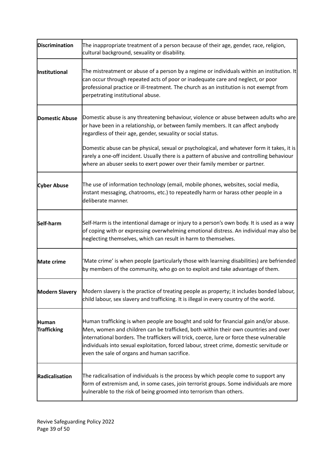| Discrimination                     | The inappropriate treatment of a person because of their age, gender, race, religion,<br>cultural background, sexuality or disability.                                                                                                                                                                                                                                                                                                                                                                             |
|------------------------------------|--------------------------------------------------------------------------------------------------------------------------------------------------------------------------------------------------------------------------------------------------------------------------------------------------------------------------------------------------------------------------------------------------------------------------------------------------------------------------------------------------------------------|
| <b>Institutional</b>               | The mistreatment or abuse of a person by a regime or individuals within an institution. It<br>can occur through repeated acts of poor or inadequate care and neglect, or poor<br>professional practice or ill-treatment. The church as an institution is not exempt from<br>perpetrating institutional abuse.                                                                                                                                                                                                      |
| <b>Domestic Abuse</b>              | Domestic abuse is any threatening behaviour, violence or abuse between adults who are<br>or have been in a relationship, or between family members. It can affect anybody<br>regardless of their age, gender, sexuality or social status.<br>Domestic abuse can be physical, sexual or psychological, and whatever form it takes, it is<br>rarely a one-off incident. Usually there is a pattern of abusive and controlling behaviour<br>where an abuser seeks to exert power over their family member or partner. |
| <b>Cyber Abuse</b>                 | The use of information technology (email, mobile phones, websites, social media,<br>instant messaging, chatrooms, etc.) to repeatedly harm or harass other people in a<br>deliberate manner.                                                                                                                                                                                                                                                                                                                       |
| Self-harm                          | Self-Harm is the intentional damage or injury to a person's own body. It is used as a way<br>of coping with or expressing overwhelming emotional distress. An individual may also be<br>neglecting themselves, which can result in harm to themselves.                                                                                                                                                                                                                                                             |
| Mate crime                         | 'Mate crime' is when people (particularly those with learning disabilities) are befriended<br>by members of the community, who go on to exploit and take advantage of them.                                                                                                                                                                                                                                                                                                                                        |
| <b>Modern Slavery</b>              | Modern slavery is the practice of treating people as property; it includes bonded labour,<br>child labour, sex slavery and trafficking. It is illegal in every country of the world.                                                                                                                                                                                                                                                                                                                               |
| <b>Human</b><br><b>Trafficking</b> | Human trafficking is when people are bought and sold for financial gain and/or abuse.<br>Men, women and children can be trafficked, both within their own countries and over<br>international borders. The traffickers will trick, coerce, lure or force these vulnerable<br>individuals into sexual exploitation, forced labour, street crime, domestic servitude or<br>even the sale of organs and human sacrifice.                                                                                              |
| Radicalisation                     | The radicalisation of individuals is the process by which people come to support any<br>form of extremism and, in some cases, join terrorist groups. Some individuals are more<br>vulnerable to the risk of being groomed into terrorism than others.                                                                                                                                                                                                                                                              |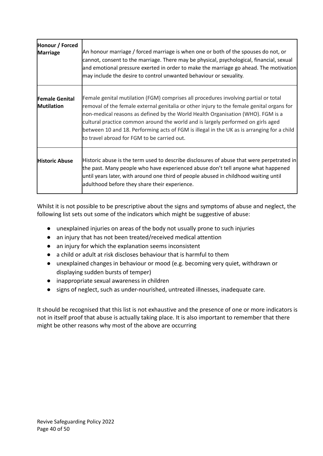| Honour / Forced<br><b>Marriage</b>         | An honour marriage / forced marriage is when one or both of the spouses do not, or<br>cannot, consent to the marriage. There may be physical, psychological, financial, sexual<br>and emotional pressure exerted in order to make the marriage go ahead. The motivation<br>may include the desire to control unwanted behaviour or sexuality.                                                                                                                                                        |
|--------------------------------------------|------------------------------------------------------------------------------------------------------------------------------------------------------------------------------------------------------------------------------------------------------------------------------------------------------------------------------------------------------------------------------------------------------------------------------------------------------------------------------------------------------|
| <b>Female Genital</b><br><b>Mutilation</b> | Female genital mutilation (FGM) comprises all procedures involving partial or total<br>removal of the female external genitalia or other injury to the female genital organs for<br>non-medical reasons as defined by the World Health Organisation (WHO). FGM is a<br>cultural practice common around the world and is largely performed on girls aged<br>between 10 and 18. Performing acts of FGM is illegal in the UK as is arranging for a child<br>to travel abroad for FGM to be carried out. |
| <b>Historic Abuse</b>                      | Historic abuse is the term used to describe disclosures of abuse that were perpetrated in<br>the past. Many people who have experienced abuse don't tell anyone what happened<br>until years later, with around one third of people abused in childhood waiting until<br>adulthood before they share their experience.                                                                                                                                                                               |

Whilst it is not possible to be prescriptive about the signs and symptoms of abuse and neglect, the following list sets out some of the indicators which might be suggestive of abuse:

- unexplained injuries on areas of the body not usually prone to such injuries
- an injury that has not been treated/received medical attention
- an injury for which the explanation seems inconsistent
- a child or adult at risk discloses behaviour that is harmful to them
- unexplained changes in behaviour or mood (e.g. becoming very quiet, withdrawn or displaying sudden bursts of temper)
- inappropriate sexual awareness in children
- signs of neglect, such as under-nourished, untreated illnesses, inadequate care.

It should be recognised that this list is not exhaustive and the presence of one or more indicators is not in itself proof that abuse is actually taking place. It is also important to remember that there might be other reasons why most of the above are occurring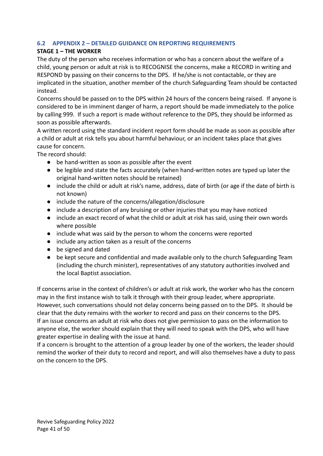# <span id="page-40-0"></span>**6.2 APPENDIX 2 – DETAILED GUIDANCE ON REPORTING REQUIREMENTS**

## **STAGE 1 – THE WORKER**

The duty of the person who receives information or who has a concern about the welfare of a child, young person or adult at risk is to RECOGNISE the concerns, make a RECORD in writing and RESPOND by passing on their concerns to the DPS. If he/she is not contactable, or they are implicated in the situation, another member of the church Safeguarding Team should be contacted instead.

Concerns should be passed on to the DPS within 24 hours of the concern being raised. If anyone is considered to be in imminent danger of harm, a report should be made immediately to the police by calling 999. If such a report is made without reference to the DPS, they should be informed as soon as possible afterwards.

A written record using the standard incident report form should be made as soon as possible after a child or adult at risk tells you about harmful behaviour, or an incident takes place that gives cause for concern.

The record should:

- be hand-written as soon as possible after the event
- be legible and state the facts accurately (when hand-written notes are typed up later the original hand-written notes should be retained)
- include the child or adult at risk's name, address, date of birth (or age if the date of birth is not known)
- include the nature of the concerns/allegation/disclosure
- include a description of any bruising or other injuries that you may have noticed
- include an exact record of what the child or adult at risk has said, using their own words where possible
- include what was said by the person to whom the concerns were reported
- include any action taken as a result of the concerns
- be signed and dated
- be kept secure and confidential and made available only to the church Safeguarding Team (including the church minister), representatives of any statutory authorities involved and the local Baptist association.

If concerns arise in the context of children's or adult at risk work, the worker who has the concern may in the first instance wish to talk it through with their group leader, where appropriate. However, such conversations should not delay concerns being passed on to the DPS. It should be clear that the duty remains with the worker to record and pass on their concerns to the DPS. If an issue concerns an adult at risk who does not give permission to pass on the information to anyone else, the worker should explain that they will need to speak with the DPS, who will have greater expertise in dealing with the issue at hand.

If a concern is brought to the attention of a group leader by one of the workers, the leader should remind the worker of their duty to record and report, and will also themselves have a duty to pass on the concern to the DPS.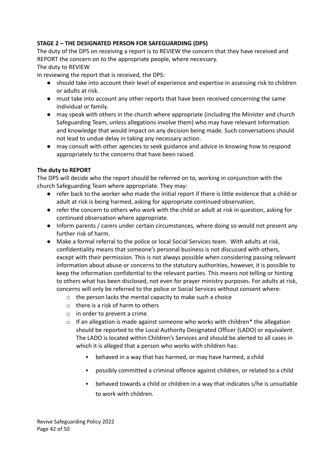# **STAGE 2 – THE DESIGNATED PERSON FOR SAFEGUARDING (DPS)**

The duty of the DPS on receiving a report is to REVIEW the concern that they have received and REPORT the concern on to the appropriate people, where necessary. The duty to REVIEW

In reviewing the report that is received, the DPS:

- should take into account their level of experience and expertise in assessing risk to children or adults at risk.
- must take into account any other reports that have been received concerning the same individual or family.
- may speak with others in the church where appropriate (including the Minister and church Safeguarding Team, unless allegations involve them) who may have relevant information and knowledge that would impact on any decision being made. Such conversations should not lead to undue delay in taking any necessary action.
- may consult with other agencies to seek guidance and advice in knowing how to respond appropriately to the concerns that have been raised.

# **The duty to REPORT**

The DPS will decide who the report should be referred on to, working in conjunction with the church Safeguarding Team where appropriate. They may:

- refer back to the worker who made the initial report if there is little evidence that a child or adult at risk is being harmed, asking for appropriate continued observation.
- refer the concern to others who work with the child or adult at risk in question, asking for continued observation where appropriate.
- Inform parents / carers under certain circumstances, where doing so would not present any further risk of harm.
- **●** Make a formal referral to the police or local Social Services team. With adults at risk, confidentiality means that someone's personal business is not discussed with others, except with their permission. This is not always possible when considering passing relevant information about abuse or concerns to the statutory authorities, however, it is possible to keep the information confidential to the relevant parties. This means not telling or hinting to others what has been disclosed, not even for prayer ministry purposes. For adults at risk, concerns will only be referred to the police or Social Services without consent where:
	- o the person lacks the mental capacity to make such a choice
	- o there is a risk of harm to others
	- o in order to prevent a crime
	- $\circ$  If an allegation is made against someone who works with children\* the allegation should be reported to the Local Authority Designated Officer (LADO) or equivalent. The LADO is located within Children's Services and should be alerted to all cases in which it is alleged that a person who works with children has:
		- behaved in a way that has harmed, or may have harmed, a child
		- possibly committed a criminal offence against children, or related to a child
		- behaved towards a child or children in a way that indicates s/he is unsuitable to work with children.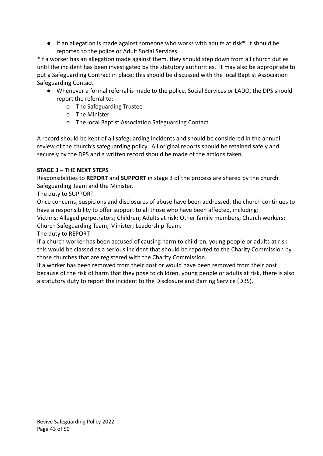● If an allegation is made against someone who works with adults at risk<sup>\*</sup>, it should be reported to the police or Adult Social Services.

\*If a worker has an allegation made against them, they should step down from all church duties until the incident has been investigated by the statutory authorities. It may also be appropriate to put a Safeguarding Contract in place; this should be discussed with the local Baptist Association Safeguarding Contact.

- Whenever a formal referral is made to the police, Social Services or LADO, the DPS should report the referral to:
	- o The Safeguarding Trustee
	- o The Minister
	- o The local Baptist Association Safeguarding Contact

A record should be kept of all safeguarding incidents and should be considered in the annual review of the church's safeguarding policy. All original reports should be retained safely and securely by the DPS and a written record should be made of the actions taken.

# **STAGE 3 – THE NEXT STEPS**

Responsibilities to **REPORT** and **SUPPORT** in stage 3 of the process are shared by the church Safeguarding Team and the Minister.

The duty to SUPPORT

Once concerns, suspicions and disclosures of abuse have been addressed, the church continues to have a responsibility to offer support to all those who have been affected, including: Victims; Alleged perpetrators; Children; Adults at risk; Other family members; Church workers; Church Safeguarding Team; Minister; Leadership Team.

The duty to REPORT

If a church worker has been accused of causing harm to children, young people or adults at risk this would be classed as a serious incident that should be reported to the Charity Commission by those churches that are registered with the Charity Commission.

If a worker has been removed from their post or would have been removed from their post because of the risk of harm that they pose to children, young people or adults at risk, there is also a statutory duty to report the incident to the Disclosure and Barring Service (DBS).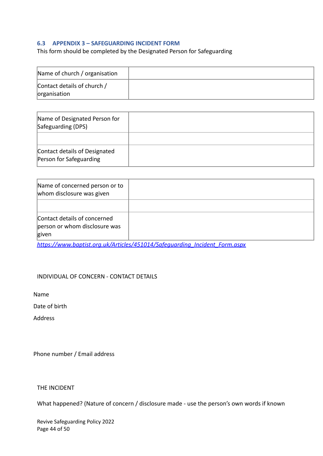### <span id="page-43-0"></span>**6.3 APPENDIX 3 – SAFEGUARDING INCIDENT FORM**

This form should be completed by the Designated Person for Safeguarding

| Name of church / organisation               |  |
|---------------------------------------------|--|
| Contact details of church /<br>organisation |  |

| Name of Designated Person for<br>Safeguarding (DPS)      |  |
|----------------------------------------------------------|--|
|                                                          |  |
| Contact details of Designated<br>Person for Safeguarding |  |

| Name of concerned person or to<br>whom disclosure was given |  |
|-------------------------------------------------------------|--|
| Contact details of concerned                                |  |
| person or whom disclosure was<br>given                      |  |

*[https://www.baptist.org.uk/Articles/451014/Safeguarding\\_Incident\\_Form.aspx](https://www.baptist.org.uk/Articles/451014/Safeguarding_Incident_Form.aspx)*

### INDIVIDUAL OF CONCERN - CONTACT DETAILS

Name

Date of birth

Address

Phone number / Email address

THE INCIDENT

What happened? (Nature of concern / disclosure made - use the person's own words if known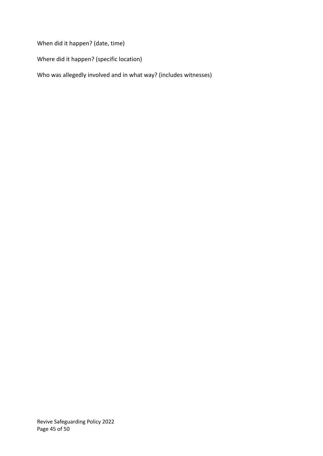When did it happen? (date, time)

Where did it happen? (specific location)

Who was allegedly involved and in what way? (includes witnesses)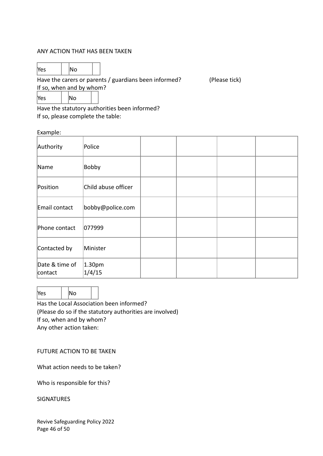#### ANY ACTION THAT HAS BEEN TAKEN

 $\mathsf{Yes}$   $\|\mathsf{No}\|$ 

Have the carers or parents / guardians been informed? (Please tick)

If so, when and by whom?

 $\mathsf{Yes}$  |  $\mathsf{No}$ 

Have the statutory authorities been informed? If so, please complete the table:

Example:

| Authority                 | Police                       |  |  |
|---------------------------|------------------------------|--|--|
| Name                      | Bobby                        |  |  |
| Position                  | Child abuse officer          |  |  |
| Email contact             | bobby@police.com             |  |  |
| Phone contact             | 077999                       |  |  |
| Contacted by              | Minister                     |  |  |
| Date & time of<br>contact | 1.30 <sub>pm</sub><br>1/4/15 |  |  |

 $\mathsf{Yes} \qquad | \mathsf{No}$ Has the Local Association been informed?

(Please do so if the statutory authorities are involved) If so, when and by whom? Any other action taken:

FUTURE ACTION TO BE TAKEN

What action needs to be taken?

Who is responsible for this?

SIGNATURES

Revive Safeguarding Policy 2022 Page 46 of 50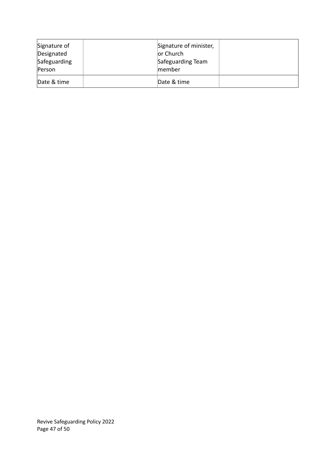| Signature of<br>Designated | Signature of minister,<br>or Church |  |
|----------------------------|-------------------------------------|--|
| Safeguarding<br>Person     | Safeguarding Team<br>member         |  |
| Date & time                | Date & time                         |  |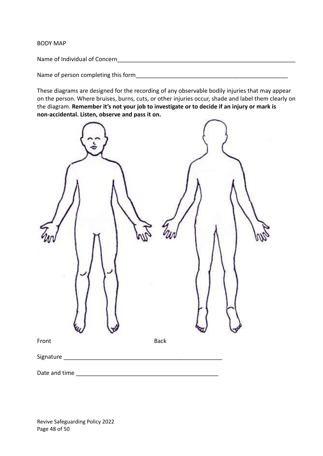BODY MAP

Name of Individual of Concern\_\_\_\_\_\_\_\_\_\_\_\_\_\_\_\_\_\_\_\_\_\_\_\_\_\_\_\_\_\_\_\_\_\_\_\_\_\_\_\_\_\_\_\_\_\_\_\_\_\_\_\_\_\_\_

Name of person completing this form

These diagrams are designed for the recording of any observable bodily injuries that may appear on the person. Where bruises, burns, cuts, or other injuries occur, shade and label them clearly on the diagram. **Remember it's not your job to investigate or to decide if an injury or mark is non-accidental. Listen, observe and pass it on.**

| Front         | Back |  |
|---------------|------|--|
| Signature _   |      |  |
| Date and time |      |  |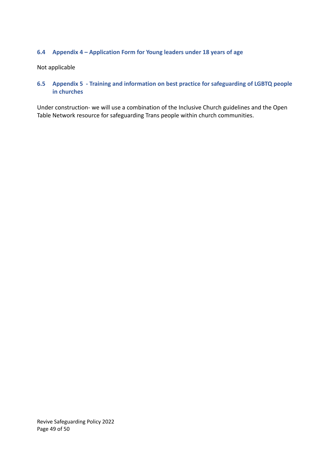# <span id="page-48-0"></span>**6.4 Appendix 4 – Application Form for Young leaders under 18 years of age**

Not applicable

<span id="page-48-1"></span>**6.5 Appendix 5 - Training and information on best practice for safeguarding of LGBTQ people in churches**

Under construction- we will use a combination of the Inclusive Church guidelines and the Open Table Network resource for safeguarding Trans people within church communities.